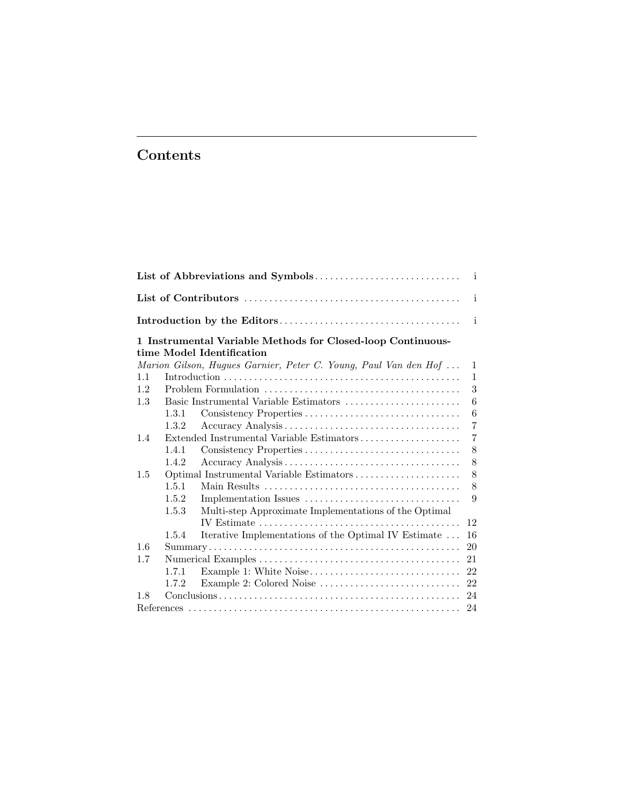# Contents

|     |              |                                                                                          | i              |  |  |
|-----|--------------|------------------------------------------------------------------------------------------|----------------|--|--|
|     |              |                                                                                          |                |  |  |
|     |              | 1 Instrumental Variable Methods for Closed-loop Continuous-<br>time Model Identification |                |  |  |
|     |              | Marion Gilson, Hugues Garnier, Peter C. Young, Paul Van den Hof                          | $\mathbf{1}$   |  |  |
| 1.1 | $\mathbf{1}$ |                                                                                          |                |  |  |
| 1.2 |              |                                                                                          |                |  |  |
| 1.3 |              |                                                                                          | 6              |  |  |
|     | 1.3.1        | Consistency Properties                                                                   | 6              |  |  |
|     | 1.3.2        |                                                                                          | $\overline{7}$ |  |  |
| 1.4 |              | Extended Instrumental Variable Estimators                                                | 7              |  |  |
|     | 1.4.1        |                                                                                          | 8              |  |  |
|     | 1.4.2        |                                                                                          | 8              |  |  |
| 1.5 |              | Optimal Instrumental Variable Estimators                                                 | 8              |  |  |
|     | 1.5.1        |                                                                                          | 8              |  |  |
|     | 1.5.2        |                                                                                          | 9              |  |  |
|     | 1.5.3        | Multi-step Approximate Implementations of the Optimal                                    |                |  |  |
|     |              |                                                                                          | 12             |  |  |
|     | 1.5.4        | Iterative Implementations of the Optimal IV Estimate                                     | 16             |  |  |
| 1.6 |              |                                                                                          | 20             |  |  |
| 1.7 |              |                                                                                          | 21             |  |  |
|     | 1.7.1        |                                                                                          | 22             |  |  |
|     | 1.7.2        | Example 2: Colored Noise                                                                 | 22             |  |  |
| 1.8 |              |                                                                                          | 24             |  |  |
|     |              |                                                                                          | 24             |  |  |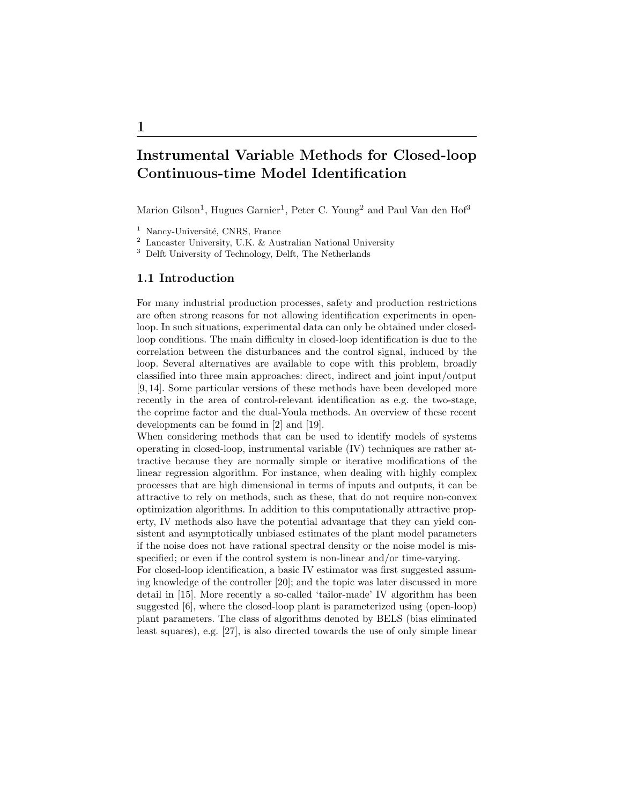# Instrumental Variable Methods for Closed-loop Continuous-time Model Identification

Marion Gilson<sup>1</sup>, Hugues Garnier<sup>1</sup>, Peter C. Young<sup>2</sup> and Paul Van den Hof<sup>3</sup>

<sup>3</sup> Delft University of Technology, Delft, The Netherlands

# 1.1 Introduction

For many industrial production processes, safety and production restrictions are often strong reasons for not allowing identification experiments in openloop. In such situations, experimental data can only be obtained under closedloop conditions. The main difficulty in closed-loop identification is due to the correlation between the disturbances and the control signal, induced by the loop. Several alternatives are available to cope with this problem, broadly classified into three main approaches: direct, indirect and joint input/output [9, 14]. Some particular versions of these methods have been developed more recently in the area of control-relevant identification as e.g. the two-stage, the coprime factor and the dual-Youla methods. An overview of these recent developments can be found in [2] and [19].

When considering methods that can be used to identify models of systems operating in closed-loop, instrumental variable (IV) techniques are rather attractive because they are normally simple or iterative modifications of the linear regression algorithm. For instance, when dealing with highly complex processes that are high dimensional in terms of inputs and outputs, it can be attractive to rely on methods, such as these, that do not require non-convex optimization algorithms. In addition to this computationally attractive property, IV methods also have the potential advantage that they can yield consistent and asymptotically unbiased estimates of the plant model parameters if the noise does not have rational spectral density or the noise model is misspecified; or even if the control system is non-linear and/or time-varying.

For closed-loop identification, a basic IV estimator was first suggested assuming knowledge of the controller [20]; and the topic was later discussed in more detail in [15]. More recently a so-called 'tailor-made' IV algorithm has been suggested [6], where the closed-loop plant is parameterized using (open-loop) plant parameters. The class of algorithms denoted by BELS (bias eliminated least squares), e.g. [27], is also directed towards the use of only simple linear

 $<sup>1</sup>$  Nancy-Université, CNRS, France</sup>

<sup>2</sup> Lancaster University, U.K. & Australian National University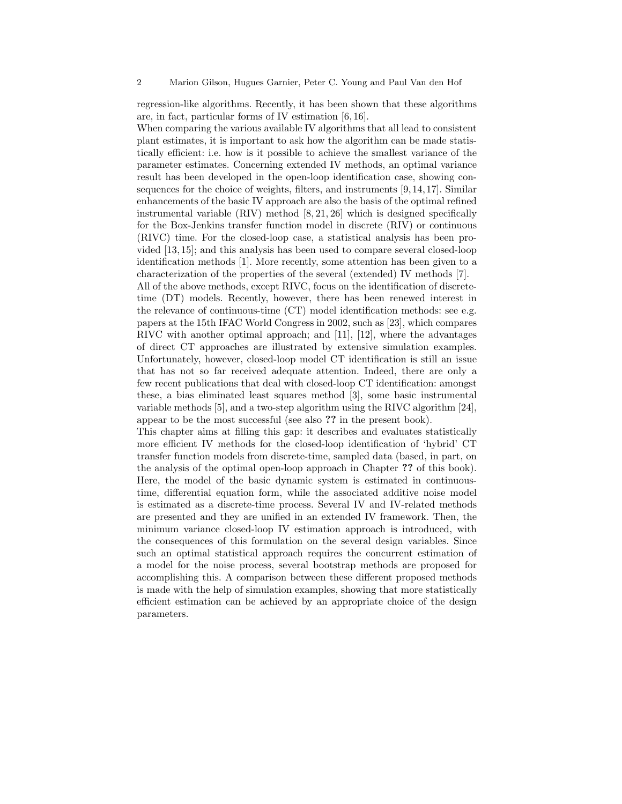regression-like algorithms. Recently, it has been shown that these algorithms are, in fact, particular forms of IV estimation [6, 16].

When comparing the various available IV algorithms that all lead to consistent plant estimates, it is important to ask how the algorithm can be made statistically efficient: i.e. how is it possible to achieve the smallest variance of the parameter estimates. Concerning extended IV methods, an optimal variance result has been developed in the open-loop identification case, showing consequences for the choice of weights, filters, and instruments [9, 14, 17]. Similar enhancements of the basic IV approach are also the basis of the optimal refined instrumental variable  $(RIV)$  method  $[8, 21, 26]$  which is designed specifically for the Box-Jenkins transfer function model in discrete (RIV) or continuous (RIVC) time. For the closed-loop case, a statistical analysis has been provided [13, 15]; and this analysis has been used to compare several closed-loop identification methods [1]. More recently, some attention has been given to a characterization of the properties of the several (extended) IV methods [7].

All of the above methods, except RIVC, focus on the identification of discretetime (DT) models. Recently, however, there has been renewed interest in the relevance of continuous-time (CT) model identification methods: see e.g. papers at the 15th IFAC World Congress in 2002, such as [23], which compares RIVC with another optimal approach; and [11], [12], where the advantages of direct CT approaches are illustrated by extensive simulation examples. Unfortunately, however, closed-loop model CT identification is still an issue that has not so far received adequate attention. Indeed, there are only a few recent publications that deal with closed-loop CT identification: amongst these, a bias eliminated least squares method [3], some basic instrumental variable methods [5], and a two-step algorithm using the RIVC algorithm [24], appear to be the most successful (see also ?? in the present book).

This chapter aims at filling this gap: it describes and evaluates statistically more efficient IV methods for the closed-loop identification of 'hybrid' CT transfer function models from discrete-time, sampled data (based, in part, on the analysis of the optimal open-loop approach in Chapter ?? of this book). Here, the model of the basic dynamic system is estimated in continuoustime, differential equation form, while the associated additive noise model is estimated as a discrete-time process. Several IV and IV-related methods are presented and they are unified in an extended IV framework. Then, the minimum variance closed-loop IV estimation approach is introduced, with the consequences of this formulation on the several design variables. Since such an optimal statistical approach requires the concurrent estimation of a model for the noise process, several bootstrap methods are proposed for accomplishing this. A comparison between these different proposed methods is made with the help of simulation examples, showing that more statistically efficient estimation can be achieved by an appropriate choice of the design parameters.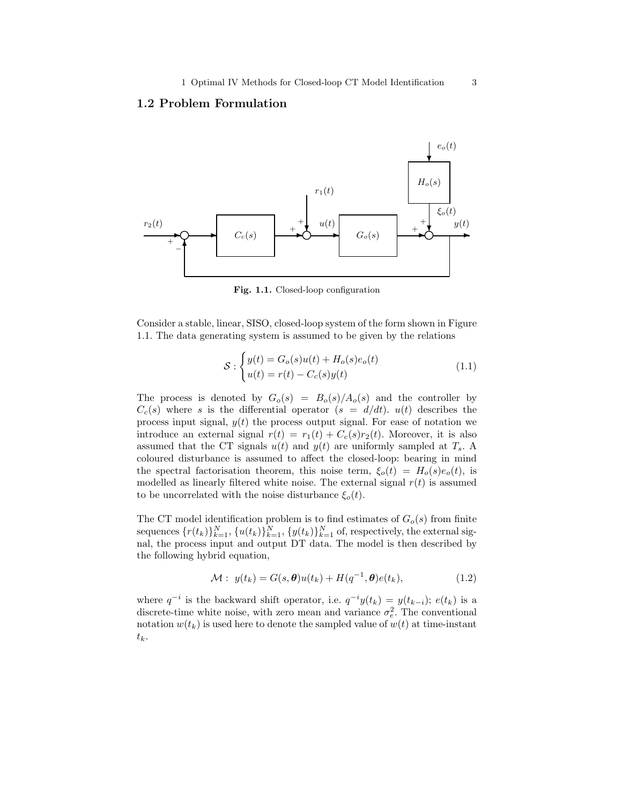## 1.2 Problem Formulation



Fig. 1.1. Closed-loop configuration

Consider a stable, linear, SISO, closed-loop system of the form shown in Figure 1.1. The data generating system is assumed to be given by the relations

$$
\mathcal{S}: \begin{cases} y(t) = G_o(s)u(t) + H_o(s)e_o(t) \\ u(t) = r(t) - C_c(s)y(t) \end{cases}
$$
\n(1.1)

The process is denoted by  $G_o(s) = B_o(s)/A_o(s)$  and the controller by  $C_c(s)$  where s is the differential operator  $(s = d/dt)$ .  $u(t)$  describes the process input signal,  $y(t)$  the process output signal. For ease of notation we introduce an external signal  $r(t) = r_1(t) + C_c(s)r_2(t)$ . Moreover, it is also assumed that the CT signals  $u(t)$  and  $y(t)$  are uniformly sampled at  $T_s$ . A coloured disturbance is assumed to affect the closed-loop: bearing in mind the spectral factorisation theorem, this noise term,  $\xi_o(t) = H_o(s)e_o(t)$ , is modelled as linearly filtered white noise. The external signal  $r(t)$  is assumed to be uncorrelated with the noise disturbance  $\xi_o(t)$ .

The CT model identification problem is to find estimates of  $G_o(s)$  from finite sequences  $\{r(t_k)\}_{k=1}^N$ ,  $\{u(t_k)\}_{k=1}^N$ ,  $\{y(t_k)\}_{k=1}^N$  of, respectively, the external signal, the process input and output DT data. The model is then described by the following hybrid equation,

$$
\mathcal{M}: y(t_k) = G(s, \boldsymbol{\theta})u(t_k) + H(q^{-1}, \boldsymbol{\theta})e(t_k), \qquad (1.2)
$$

where  $q^{-i}$  is the backward shift operator, i.e.  $q^{-i}y(t_k) = y(t_{k-i}); e(t_k)$  is a discrete-time white noise, with zero mean and variance  $\sigma_e^2$ . The conventional notation  $w(t_k)$  is used here to denote the sampled value of  $w(t)$  at time-instant  $t_k$ .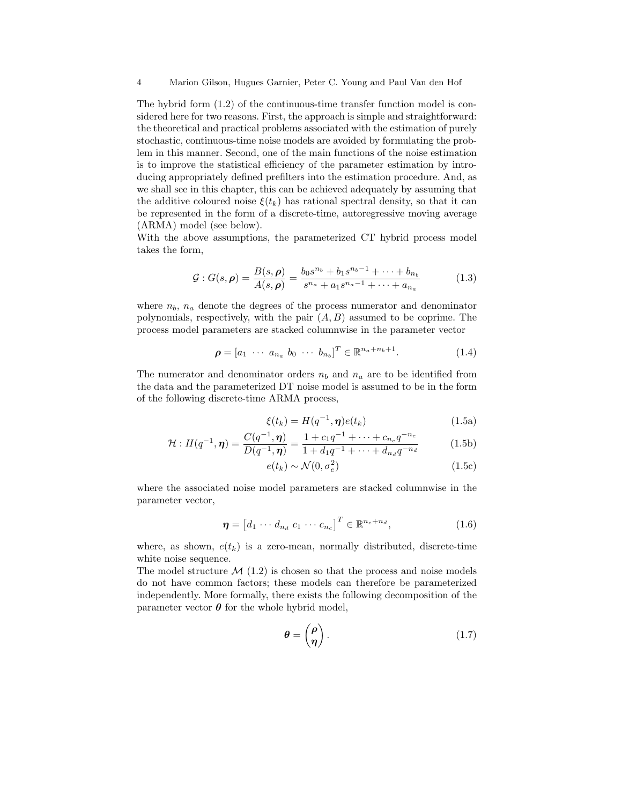The hybrid form (1.2) of the continuous-time transfer function model is considered here for two reasons. First, the approach is simple and straightforward: the theoretical and practical problems associated with the estimation of purely stochastic, continuous-time noise models are avoided by formulating the problem in this manner. Second, one of the main functions of the noise estimation is to improve the statistical efficiency of the parameter estimation by introducing appropriately defined prefilters into the estimation procedure. And, as we shall see in this chapter, this can be achieved adequately by assuming that the additive coloured noise  $\xi(t_k)$  has rational spectral density, so that it can be represented in the form of a discrete-time, autoregressive moving average (ARMA) model (see below).

With the above assumptions, the parameterized CT hybrid process model takes the form,

$$
\mathcal{G}: G(s,\rho) = \frac{B(s,\rho)}{A(s,\rho)} = \frac{b_0 s^{n_b} + b_1 s^{n_b - 1} + \dots + b_{n_b}}{s^{n_a} + a_1 s^{n_a - 1} + \dots + a_{n_a}} \tag{1.3}
$$

where  $n_b$ ,  $n_a$  denote the degrees of the process numerator and denominator polynomials, respectively, with the pair  $(A, B)$  assumed to be coprime. The process model parameters are stacked columnwise in the parameter vector

$$
\boldsymbol{\rho} = [a_1 \cdots a_{n_a} b_0 \cdots b_{n_b}]^T \in \mathbb{R}^{n_a + n_b + 1}.
$$
 (1.4)

The numerator and denominator orders  $n_b$  and  $n_a$  are to be identified from the data and the parameterized DT noise model is assumed to be in the form of the following discrete-time ARMA process,

$$
\xi(t_k) = H(q^{-1}, \boldsymbol{\eta})e(t_k) \tag{1.5a}
$$

$$
\mathcal{H}: H(q^{-1}, \eta) = \frac{C(q^{-1}, \eta)}{D(q^{-1}, \eta)} = \frac{1 + c_1 q^{-1} + \dots + c_{n_c} q^{-n_c}}{1 + d_1 q^{-1} + \dots + d_{n_d} q^{-n_d}} \tag{1.5b}
$$

$$
e(t_k) \sim \mathcal{N}(0, \sigma_e^2) \tag{1.5c}
$$

where the associated noise model parameters are stacked columnwise in the parameter vector,

$$
\boldsymbol{\eta} = \begin{bmatrix} d_1 \cdots d_{n_d} & c_1 \cdots c_{n_c} \end{bmatrix}^T \in \mathbb{R}^{n_c + n_d},\tag{1.6}
$$

where, as shown,  $e(t_k)$  is a zero-mean, normally distributed, discrete-time white noise sequence.

The model structure  $\mathcal{M}(1.2)$  is chosen so that the process and noise models do not have common factors; these models can therefore be parameterized independently. More formally, there exists the following decomposition of the parameter vector  $\boldsymbol{\theta}$  for the whole hybrid model,

$$
\theta = \begin{pmatrix} \rho \\ \eta \end{pmatrix} . \tag{1.7}
$$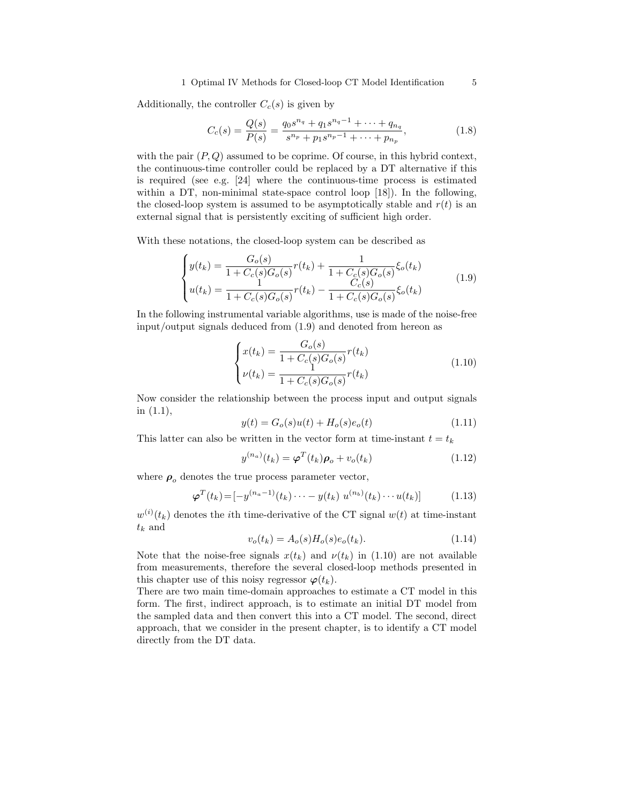#### 1 Optimal IV Methods for Closed-loop CT Model Identification 5

Additionally, the controller  $C_c(s)$  is given by

$$
C_c(s) = \frac{Q(s)}{P(s)} = \frac{q_0 s^{n_q} + q_1 s^{n_q - 1} + \dots + q_{n_q}}{s^{n_p} + p_1 s^{n_p - 1} + \dots + p_{n_p}},
$$
(1.8)

with the pair  $(P, Q)$  assumed to be coprime. Of course, in this hybrid context, the continuous-time controller could be replaced by a DT alternative if this is required (see e.g. [24] where the continuous-time process is estimated within a DT, non-minimal state-space control loop [18]). In the following, the closed-loop system is assumed to be asymptotically stable and  $r(t)$  is an external signal that is persistently exciting of sufficient high order.

With these notations, the closed-loop system can be described as

$$
\begin{cases}\ny(t_k) = \frac{G_o(s)}{1 + C_c(s)G_o(s)}r(t_k) + \frac{1}{1 + C_c(s)G_o(s)}\xi_o(t_k) \\
u(t_k) = \frac{1}{1 + C_c(s)G_o(s)}r(t_k) - \frac{C_c(s)}{1 + C_c(s)G_o(s)}\xi_o(t_k)\n\end{cases} \tag{1.9}
$$

In the following instrumental variable algorithms, use is made of the noise-free input/output signals deduced from (1.9) and denoted from hereon as

$$
\begin{cases}\nx(t_k) = \frac{G_o(s)}{1 + C_c(s)G_o(s)} r(t_k) \\
\nu(t_k) = \frac{1}{1 + C_c(s)G_o(s)} r(t_k)\n\end{cases}
$$
\n(1.10)

Now consider the relationship between the process input and output signals in (1.1),

$$
y(t) = G_o(s)u(t) + H_o(s)e_o(t)
$$
\n(1.11)

This latter can also be written in the vector form at time-instant  $t = t_k$ 

$$
y^{(n_a)}(t_k) = \boldsymbol{\varphi}^T(t_k)\boldsymbol{\rho}_o + v_o(t_k)
$$
\n(1.12)

where  $\rho_o$  denotes the true process parameter vector,

$$
\boldsymbol{\varphi}^{T}(t_{k}) = [-y^{(n_{a}-1)}(t_{k})\cdots - y(t_{k}) u^{(n_{b})}(t_{k})\cdots u(t_{k})] \qquad (1.13)
$$

 $w^{(i)}(t_k)$  denotes the *i*th time-derivative of the CT signal  $w(t)$  at time-instant  $t_k$  and

$$
v_o(t_k) = A_o(s)H_o(s)e_o(t_k).
$$
 (1.14)

Note that the noise-free signals  $x(t_k)$  and  $\nu(t_k)$  in (1.10) are not available from measurements, therefore the several closed-loop methods presented in this chapter use of this noisy regressor  $\varphi(t_k)$ .

There are two main time-domain approaches to estimate a CT model in this form. The first, indirect approach, is to estimate an initial DT model from the sampled data and then convert this into a CT model. The second, direct approach, that we consider in the present chapter, is to identify a CT model directly from the DT data.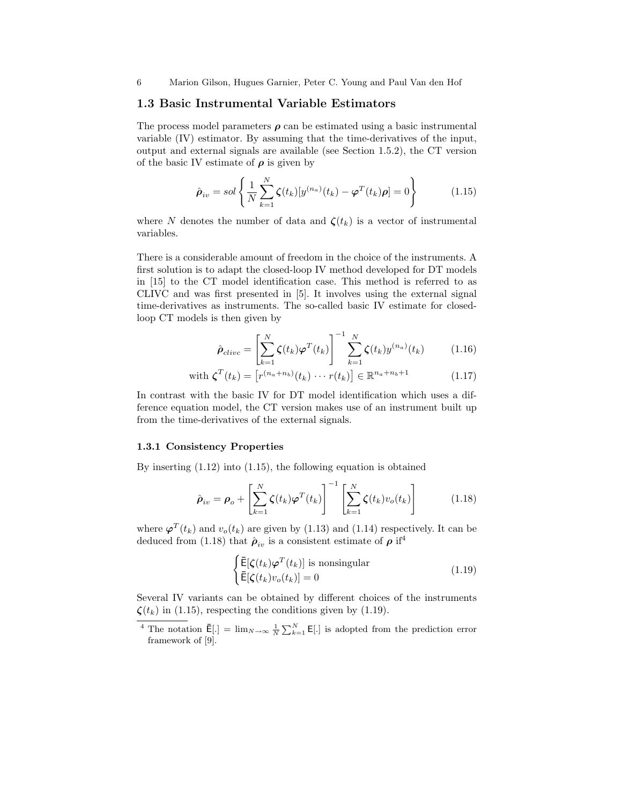## 1.3 Basic Instrumental Variable Estimators

The process model parameters  $\rho$  can be estimated using a basic instrumental variable (IV) estimator. By assuming that the time-derivatives of the input, output and external signals are available (see Section 1.5.2), the CT version of the basic IV estimate of  $\rho$  is given by

$$
\hat{\boldsymbol{\rho}}_{iv} = sol\left\{\frac{1}{N}\sum_{k=1}^{N} \zeta(t_k)[y^{(n_a)}(t_k) - \boldsymbol{\varphi}^T(t_k)\boldsymbol{\rho}] = 0\right\}
$$
(1.15)

where N denotes the number of data and  $\zeta(t_k)$  is a vector of instrumental variables.

There is a considerable amount of freedom in the choice of the instruments. A first solution is to adapt the closed-loop IV method developed for DT models in [15] to the CT model identification case. This method is referred to as CLIVC and was first presented in [5]. It involves using the external signal time-derivatives as instruments. The so-called basic IV estimate for closedloop CT models is then given by

$$
\hat{\boldsymbol{\rho}}_{clivc} = \left[\sum_{k=1}^{N} \zeta(t_k) \boldsymbol{\varphi}^T(t_k)\right]^{-1} \sum_{k=1}^{N} \zeta(t_k) y^{(n_a)}(t_k) \tag{1.16}
$$

with 
$$
\zeta^{T}(t_{k}) = \left[r^{(n_{a}+n_{b})}(t_{k}) \cdots r(t_{k})\right] \in \mathbb{R}^{n_{a}+n_{b}+1}
$$
 (1.17)

In contrast with the basic IV for DT model identification which uses a difference equation model, the CT version makes use of an instrument built up from the time-derivatives of the external signals.

#### 1.3.1 Consistency Properties

By inserting (1.12) into (1.15), the following equation is obtained

$$
\hat{\boldsymbol{\rho}}_{iv} = \boldsymbol{\rho}_o + \left[ \sum_{k=1}^N \zeta(t_k) \boldsymbol{\varphi}^T(t_k) \right]^{-1} \left[ \sum_{k=1}^N \zeta(t_k) v_o(t_k) \right] \tag{1.18}
$$

where  $\varphi^{T}(t_{k})$  and  $v_{o}(t_{k})$  are given by (1.13) and (1.14) respectively. It can be deduced from (1.18) that  $\hat{\rho}_{iv}$  is a consistent estimate of  $\rho$  if<sup>4</sup>

$$
\begin{cases}\n\bar{\mathsf{E}}[\zeta(t_k)\varphi^T(t_k)] \text{ is nonsingular} \\
\bar{\mathsf{E}}[\zeta(t_k)v_o(t_k)] = 0\n\end{cases}
$$
\n(1.19)

Several IV variants can be obtained by different choices of the instruments  $\zeta(t_k)$  in (1.15), respecting the conditions given by (1.19).

<sup>&</sup>lt;sup>4</sup> The notation  $\bar{\mathsf{E}}[\cdot] = \lim_{N \to \infty} \frac{1}{N} \sum_{k=1}^{N} \mathsf{E}[\cdot]$  is adopted from the prediction error framework of [9].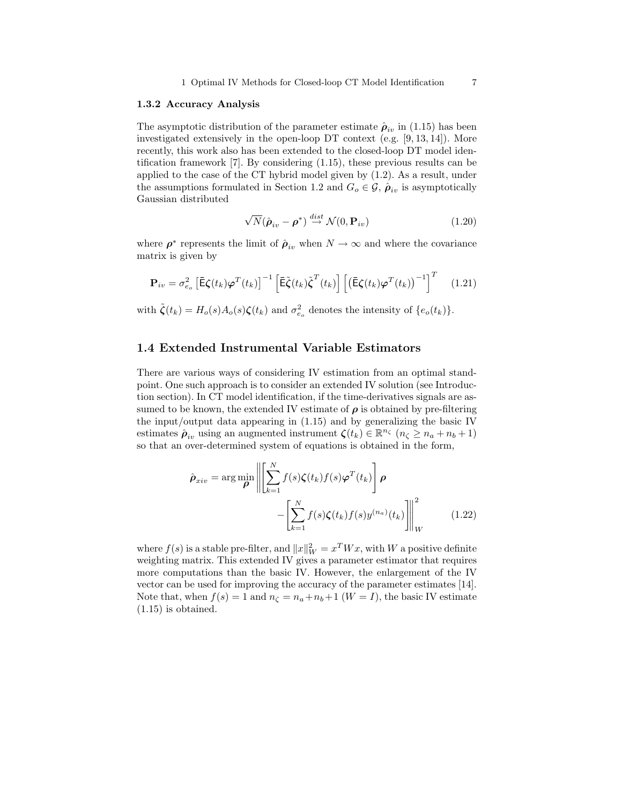#### 1.3.2 Accuracy Analysis

The asymptotic distribution of the parameter estimate  $\hat{\rho}_{iv}$  in (1.15) has been investigated extensively in the open-loop DT context (e.g. [9, 13, 14]). More recently, this work also has been extended to the closed-loop DT model identification framework [7]. By considering (1.15), these previous results can be applied to the case of the CT hybrid model given by (1.2). As a result, under the assumptions formulated in Section 1.2 and  $G_o \in \mathcal{G}$ ,  $\hat{\rho}_{iv}$  is asymptotically Gaussian distributed

$$
\sqrt{N}(\hat{\boldsymbol{\rho}}_{iv} - \boldsymbol{\rho}^*) \stackrel{dist}{\rightarrow} \mathcal{N}(0, \mathbf{P}_{iv})
$$
\n(1.20)

where  $\rho^*$  represents the limit of  $\hat{\rho}_{iv}$  when  $N \to \infty$  and where the covariance matrix is given by

$$
\mathbf{P}_{iv} = \sigma_{e_o}^2 \left[ \bar{\mathbf{E}} \zeta(t_k) \boldsymbol{\varphi}^T(t_k) \right]^{-1} \left[ \bar{\mathbf{E}} \tilde{\zeta}(t_k) \tilde{\zeta}^T(t_k) \right] \left[ \left( \bar{\mathbf{E}} \zeta(t_k) \boldsymbol{\varphi}^T(t_k) \right)^{-1} \right]^T \tag{1.21}
$$

with  $\tilde{\zeta}(t_k) = H_o(s)A_o(s)\zeta(t_k)$  and  $\sigma_{e_o}^2$  denotes the intensity of  $\{e_o(t_k)\}.$ 

## 1.4 Extended Instrumental Variable Estimators

There are various ways of considering IV estimation from an optimal standpoint. One such approach is to consider an extended IV solution (see Introduction section). In CT model identification, if the time-derivatives signals are assumed to be known, the extended IV estimate of  $\rho$  is obtained by pre-filtering the input/output data appearing in (1.15) and by generalizing the basic IV estimates  $\hat{\rho}_{iv}$  using an augmented instrument  $\zeta(t_k) \in \mathbb{R}^{n_{\zeta}}$   $(n_{\zeta} \ge n_a + n_b + 1)$ so that an over-determined system of equations is obtained in the form,

$$
\hat{\rho}_{xiv} = \arg\min_{\boldsymbol{\rho}} \left\| \left[ \sum_{k=1}^{N} f(s)\zeta(t_k)f(s)\boldsymbol{\varphi}^{T}(t_k) \right] \boldsymbol{\rho} - \left[ \sum_{k=1}^{N} f(s)\zeta(t_k)f(s)y^{(n_a)}(t_k) \right] \right\|_{W}^{2}
$$
\n(1.22)

where  $f(s)$  is a stable pre-filter, and  $||x||_W^2 = x^T W x$ , with W a positive definite weighting matrix. This extended IV gives a parameter estimator that requires more computations than the basic IV. However, the enlargement of the IV vector can be used for improving the accuracy of the parameter estimates [14]. Note that, when  $f(s) = 1$  and  $n<sub>\zeta</sub> = n<sub>a</sub> + n<sub>b</sub> + 1$  ( $W = I$ ), the basic IV estimate (1.15) is obtained.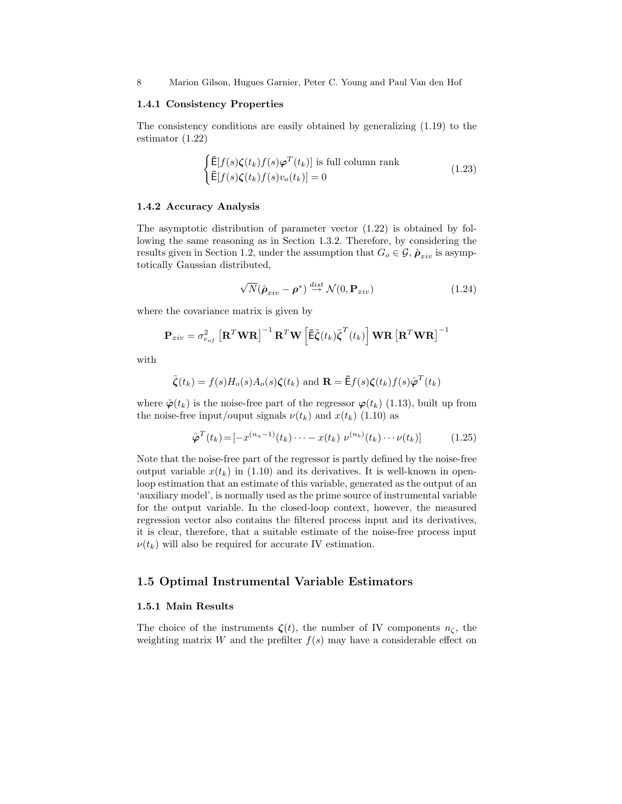8 Marion Gilson, Hugues Garnier, Peter C. Young and Paul Van den Hof

#### 1.4.1 Consistency Properties

The consistency conditions are easily obtained by generalizing (1.19) to the estimator (1.22)

$$
\begin{cases} \bar{\mathsf{E}}[f(s)\zeta(t_k)f(s)\varphi^T(t_k)] \text{ is full column rank} \\ \bar{\mathsf{E}}[f(s)\zeta(t_k)f(s)v_o(t_k)] = 0 \end{cases}
$$
\n(1.23)

### 1.4.2 Accuracy Analysis

The asymptotic distribution of parameter vector (1.22) is obtained by following the same reasoning as in Section 1.3.2. Therefore, by considering the results given in Section 1.2, under the assumption that  $G_o \in \mathcal{G}$ ,  $\hat{\rho}_{xiv}$  is asymptotically Gaussian distributed,

$$
\sqrt{N}(\hat{\boldsymbol{\rho}}_{xiv} - \boldsymbol{\rho}^*) \stackrel{dist}{\rightarrow} \mathcal{N}(0, \mathbf{P}_{xiv})
$$
\n(1.24)

where the covariance matrix is given by

$$
\mathbf{P}_{xiv} = \sigma_{e_{of}}^2 \left[ \mathbf{R}^T \mathbf{W} \mathbf{R} \right]^{-1} \mathbf{R}^T \mathbf{W} \left[ \bar{\mathbf{E}} \tilde{\boldsymbol{\zeta}}(t_k) \tilde{\boldsymbol{\zeta}}^T(t_k) \right] \mathbf{W} \mathbf{R} \left[ \mathbf{R}^T \mathbf{W} \mathbf{R} \right]^{-1}
$$

with

$$
\tilde{\zeta}(t_k) = f(s)H_o(s)A_o(s)\zeta(t_k)
$$
 and  $\mathbf{R} = \bar{\mathbf{E}}f(s)\zeta(t_k)f(s)\varphi^T(t_k)$ 

where  $\dot{\varphi}(t_k)$  is the noise-free part of the regressor  $\varphi(t_k)$  (1.13), built up from the noise-free input/ouput signals  $\nu(t_k)$  and  $x(t_k)$  (1.10) as

$$
\mathring{\boldsymbol{\varphi}}^{T}(t_{k}) = [-x^{(n_{a}-1)}(t_{k})\cdots - x(t_{k}) \ \nu^{(n_{b})}(t_{k})\cdots \nu(t_{k})] \tag{1.25}
$$

Note that the noise-free part of the regressor is partly defined by the noise-free output variable  $x(t_k)$  in (1.10) and its derivatives. It is well-known in openloop estimation that an estimate of this variable, generated as the output of an 'auxiliary model', is normally used as the prime source of instrumental variable for the output variable. In the closed-loop context, however, the measured regression vector also contains the filtered process input and its derivatives, it is clear, therefore, that a suitable estimate of the noise-free process input  $\nu(t_k)$  will also be required for accurate IV estimation.

## 1.5 Optimal Instrumental Variable Estimators

#### 1.5.1 Main Results

The choice of the instruments  $\zeta(t)$ , the number of IV components  $n_{\zeta}$ , the weighting matrix W and the prefilter  $f(s)$  may have a considerable effect on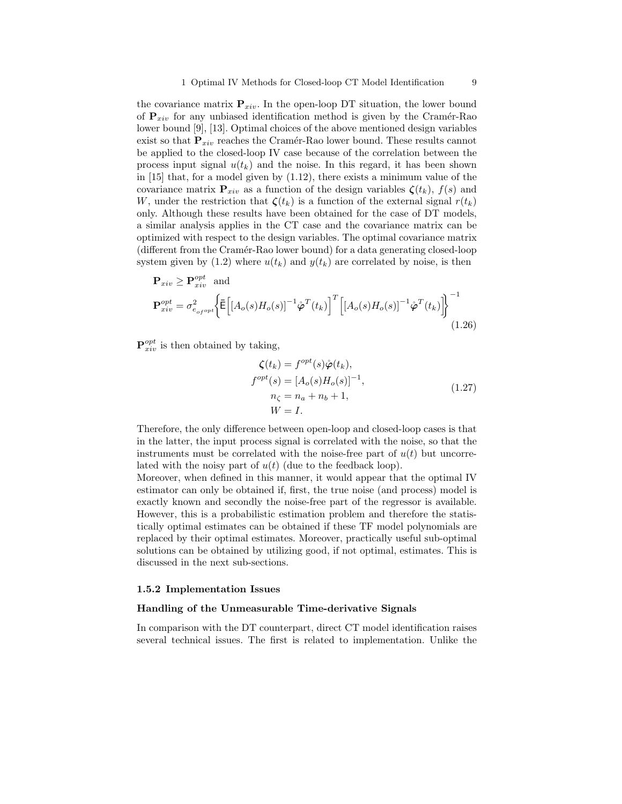the covariance matrix  ${\bf P}_{xiv}$ . In the open-loop DT situation, the lower bound of  $P_{xiv}$  for any unbiased identification method is given by the Cramér-Rao lower bound [9], [13]. Optimal choices of the above mentioned design variables exist so that  $P_{xiv}$  reaches the Cramér-Rao lower bound. These results cannot be applied to the closed-loop IV case because of the correlation between the process input signal  $u(t_k)$  and the noise. In this regard, it has been shown in [15] that, for a model given by (1.12), there exists a minimum value of the covariance matrix  $P_{xiv}$  as a function of the design variables  $\zeta(t_k)$ ,  $f(s)$  and W, under the restriction that  $\zeta(t_k)$  is a function of the external signal  $r(t_k)$ only. Although these results have been obtained for the case of DT models, a similar analysis applies in the CT case and the covariance matrix can be optimized with respect to the design variables. The optimal covariance matrix (different from the Cramér-Rao lower bound) for a data generating closed-loop system given by (1.2) where  $u(t_k)$  and  $y(t_k)$  are correlated by noise, is then

$$
\mathbf{P}_{xiv} \ge \mathbf{P}_{xiv}^{opt} \text{ and}
$$
\n
$$
\mathbf{P}_{xiv}^{opt} = \sigma_{e_{of}^{opt}}^2 \left\{ \overline{\mathbf{E}} \left[ \left[ A_o(s) H_o(s) \right]^{-1} \hat{\boldsymbol{\varphi}}^T(t_k) \right]^T \left[ \left[ A_o(s) H_o(s) \right]^{-1} \hat{\boldsymbol{\varphi}}^T(t_k) \right] \right\}^{-1}
$$
\n(1.26)

 ${\bf P}_{xiv}^{opt}$  is then obtained by taking,

$$
\zeta(t_k) = f^{opt}(s)\dot{\varphi}(t_k),
$$
  
\n
$$
f^{opt}(s) = [A_o(s)H_o(s)]^{-1},
$$
  
\n
$$
n_{\zeta} = n_a + n_b + 1,
$$
  
\n
$$
W = I.
$$
\n(1.27)

Therefore, the only difference between open-loop and closed-loop cases is that in the latter, the input process signal is correlated with the noise, so that the instruments must be correlated with the noise-free part of  $u(t)$  but uncorrelated with the noisy part of  $u(t)$  (due to the feedback loop).

Moreover, when defined in this manner, it would appear that the optimal IV estimator can only be obtained if, first, the true noise (and process) model is exactly known and secondly the noise-free part of the regressor is available. However, this is a probabilistic estimation problem and therefore the statistically optimal estimates can be obtained if these TF model polynomials are replaced by their optimal estimates. Moreover, practically useful sub-optimal solutions can be obtained by utilizing good, if not optimal, estimates. This is discussed in the next sub-sections.

#### 1.5.2 Implementation Issues

#### Handling of the Unmeasurable Time-derivative Signals

In comparison with the DT counterpart, direct CT model identification raises several technical issues. The first is related to implementation. Unlike the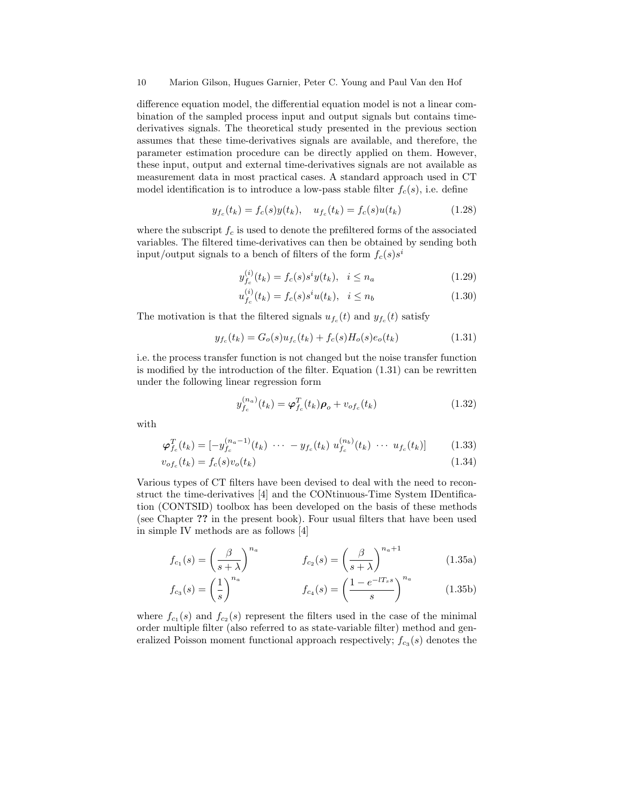difference equation model, the differential equation model is not a linear combination of the sampled process input and output signals but contains timederivatives signals. The theoretical study presented in the previous section assumes that these time-derivatives signals are available, and therefore, the parameter estimation procedure can be directly applied on them. However, these input, output and external time-derivatives signals are not available as measurement data in most practical cases. A standard approach used in CT model identification is to introduce a low-pass stable filter  $f_c(s)$ , i.e. define

$$
y_{f_c}(t_k) = f_c(s)y(t_k), \quad u_{f_c}(t_k) = f_c(s)u(t_k)
$$
\n(1.28)

where the subscript  $f_c$  is used to denote the prefiltered forms of the associated variables. The filtered time-derivatives can then be obtained by sending both input/output signals to a bench of filters of the form  $f_c(s)s^i$ 

$$
y_{f_c}^{(i)}(t_k) = f_c(s)s^i y(t_k), \quad i \le n_a \tag{1.29}
$$

$$
u_{f_c}^{(i)}(t_k) = f_c(s)s^i u(t_k), \quad i \le n_b \tag{1.30}
$$

The motivation is that the filtered signals  $u_{f_c}(t)$  and  $y_{f_c}(t)$  satisfy

$$
y_{f_c}(t_k) = G_o(s)u_{f_c}(t_k) + f_c(s)H_o(s)e_o(t_k)
$$
\n(1.31)

i.e. the process transfer function is not changed but the noise transfer function is modified by the introduction of the filter. Equation (1.31) can be rewritten under the following linear regression form

$$
y_{f_c}^{(n_a)}(t_k) = \boldsymbol{\varphi}_{f_c}^T(t_k)\boldsymbol{\rho}_o + v_{of_c}(t_k)
$$
 (1.32)

with

$$
\boldsymbol{\varphi}_{f_c}^T(t_k) = \left[ -y_{f_c}^{(n_a - 1)}(t_k) \cdots - y_{f_c}(t_k) u_{f_c}^{(n_b)}(t_k) \cdots u_{f_c}(t_k) \right] \tag{1.33}
$$

$$
v_{of_c}(t_k) = f_c(s)v_o(t_k)
$$
\n
$$
(1.34)
$$

Various types of CT filters have been devised to deal with the need to reconstruct the time-derivatives [4] and the CONtinuous-Time System IDentification (CONTSID) toolbox has been developed on the basis of these methods (see Chapter ?? in the present book). Four usual filters that have been used in simple IV methods are as follows [4]

$$
f_{c_1}(s) = \left(\frac{\beta}{s+\lambda}\right)^{n_a} \qquad f_{c_2}(s) = \left(\frac{\beta}{s+\lambda}\right)^{n_a+1} \qquad (1.35a)
$$

$$
f_{c_3}(s) = \left(\frac{1}{s}\right)^{n_a} \qquad f_{c_4}(s) = \left(\frac{1 - e^{-lT_s s}}{s}\right)^{n_a} \qquad (1.35b)
$$

where  $f_{c_1}(s)$  and  $f_{c_2}(s)$  represent the filters used in the case of the minimal order multiple filter (also referred to as state-variable filter) method and generalized Poisson moment functional approach respectively;  $f_{c_3}(s)$  denotes the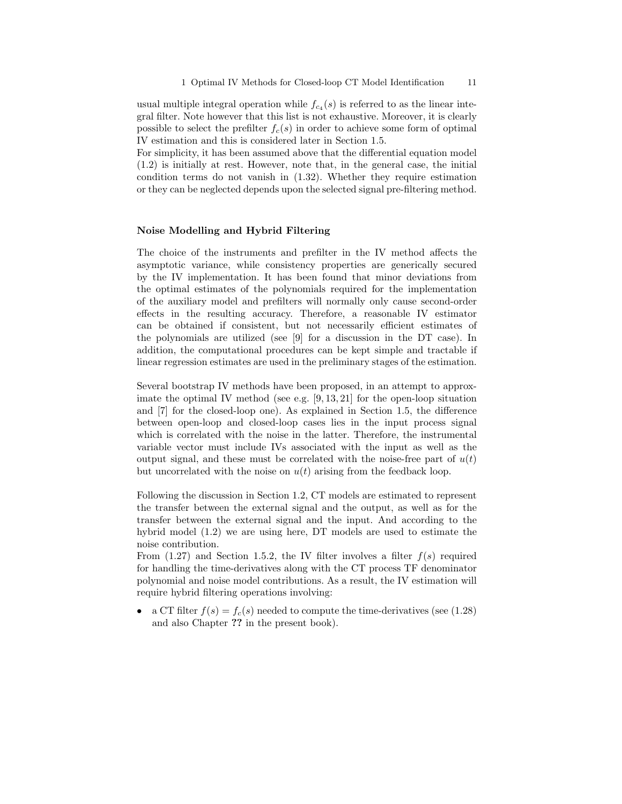usual multiple integral operation while  $f_{c_4}(s)$  is referred to as the linear integral filter. Note however that this list is not exhaustive. Moreover, it is clearly possible to select the prefilter  $f_c(s)$  in order to achieve some form of optimal IV estimation and this is considered later in Section 1.5.

For simplicity, it has been assumed above that the differential equation model (1.2) is initially at rest. However, note that, in the general case, the initial condition terms do not vanish in (1.32). Whether they require estimation or they can be neglected depends upon the selected signal pre-filtering method.

### Noise Modelling and Hybrid Filtering

The choice of the instruments and prefilter in the IV method affects the asymptotic variance, while consistency properties are generically secured by the IV implementation. It has been found that minor deviations from the optimal estimates of the polynomials required for the implementation of the auxiliary model and prefilters will normally only cause second-order effects in the resulting accuracy. Therefore, a reasonable IV estimator can be obtained if consistent, but not necessarily efficient estimates of the polynomials are utilized (see [9] for a discussion in the DT case). In addition, the computational procedures can be kept simple and tractable if linear regression estimates are used in the preliminary stages of the estimation.

Several bootstrap IV methods have been proposed, in an attempt to approximate the optimal IV method (see e.g.  $[9, 13, 21]$  for the open-loop situation and [7] for the closed-loop one). As explained in Section 1.5, the difference between open-loop and closed-loop cases lies in the input process signal which is correlated with the noise in the latter. Therefore, the instrumental variable vector must include IVs associated with the input as well as the output signal, and these must be correlated with the noise-free part of  $u(t)$ but uncorrelated with the noise on  $u(t)$  arising from the feedback loop.

Following the discussion in Section 1.2, CT models are estimated to represent the transfer between the external signal and the output, as well as for the transfer between the external signal and the input. And according to the hybrid model (1.2) we are using here, DT models are used to estimate the noise contribution.

From  $(1.27)$  and Section 1.5.2, the IV filter involves a filter  $f(s)$  required for handling the time-derivatives along with the CT process TF denominator polynomial and noise model contributions. As a result, the IV estimation will require hybrid filtering operations involving:

• a CT filter  $f(s) = f_c(s)$  needed to compute the time-derivatives (see (1.28) and also Chapter ?? in the present book).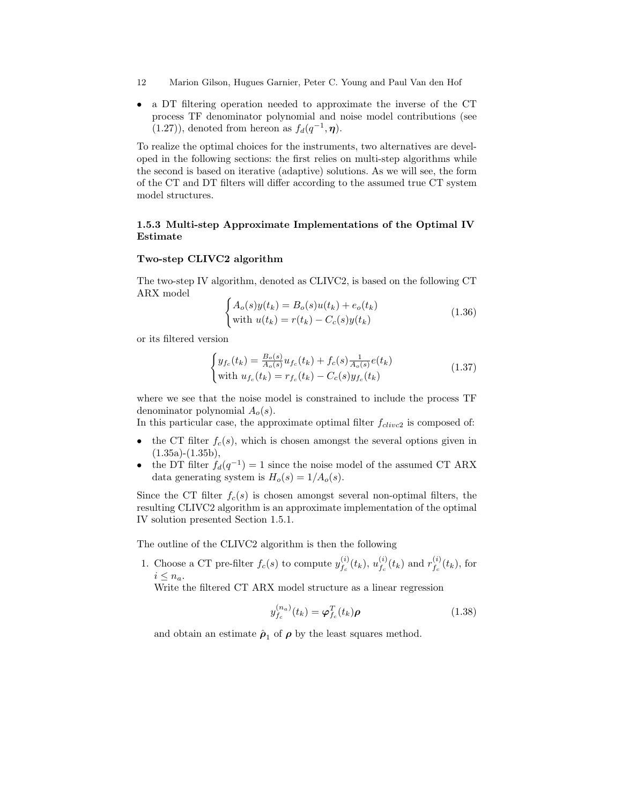- 12 Marion Gilson, Hugues Garnier, Peter C. Young and Paul Van den Hof
- a DT filtering operation needed to approximate the inverse of the CT process TF denominator polynomial and noise model contributions (see  $(1.27)$ , denoted from hereon as  $f_d(q^{-1}, \eta)$ .

To realize the optimal choices for the instruments, two alternatives are developed in the following sections: the first relies on multi-step algorithms while the second is based on iterative (adaptive) solutions. As we will see, the form of the CT and DT filters will differ according to the assumed true CT system model structures.

## 1.5.3 Multi-step Approximate Implementations of the Optimal IV Estimate

#### Two-step CLIVC2 algorithm

The two-step IV algorithm, denoted as CLIVC2, is based on the following CT ARX model

$$
\begin{cases}\nA_o(s)y(t_k) = B_o(s)u(t_k) + e_o(t_k) \\
\text{with } u(t_k) = r(t_k) - C_c(s)y(t_k)\n\end{cases}
$$
\n(1.36)

or its filtered version

$$
\begin{cases} y_{f_c}(t_k) = \frac{B_o(s)}{A_o(s)} u_{f_c}(t_k) + f_c(s) \frac{1}{A_o(s)} e(t_k) \\ \text{with } u_{f_c}(t_k) = r_{f_c}(t_k) - C_c(s) y_{f_c}(t_k) \end{cases} \tag{1.37}
$$

where we see that the noise model is constrained to include the process TF denominator polynomial  $A_o(s)$ .

In this particular case, the approximate optimal filter  $f_{clivcl}$  is composed of:

- the CT filter  $f_c(s)$ , which is chosen amongst the several options given in  $(1.35a)-(1.35b),$
- the DT filter  $f_d(q^{-1}) = 1$  since the noise model of the assumed CT ARX data generating system is  $H_o(s) = 1/A_o(s)$ .

Since the CT filter  $f_c(s)$  is chosen amongst several non-optimal filters, the resulting CLIVC2 algorithm is an approximate implementation of the optimal IV solution presented Section 1.5.1.

The outline of the CLIVC2 algorithm is then the following

1. Choose a CT pre-filter  $f_c(s)$  to compute  $y_{f_c}^{(i)}$  $y_{f_{c}}^{(i)}(t_{k}), \, u_{f_{c}}^{(i)}$  $f_c^{(i)}(t_k)$  and  $r_{f_c}^{(i)}$  $f_c^{(i)}(t_k)$ , for  $i \leq n_a$ .

Write the filtered CT ARX model structure as a linear regression

$$
y_{f_c}^{(n_a)}(t_k) = \varphi_{f_c}^T(t_k)\rho
$$
\n(1.38)

and obtain an estimate  $\hat{\rho}_1$  of  $\rho$  by the least squares method.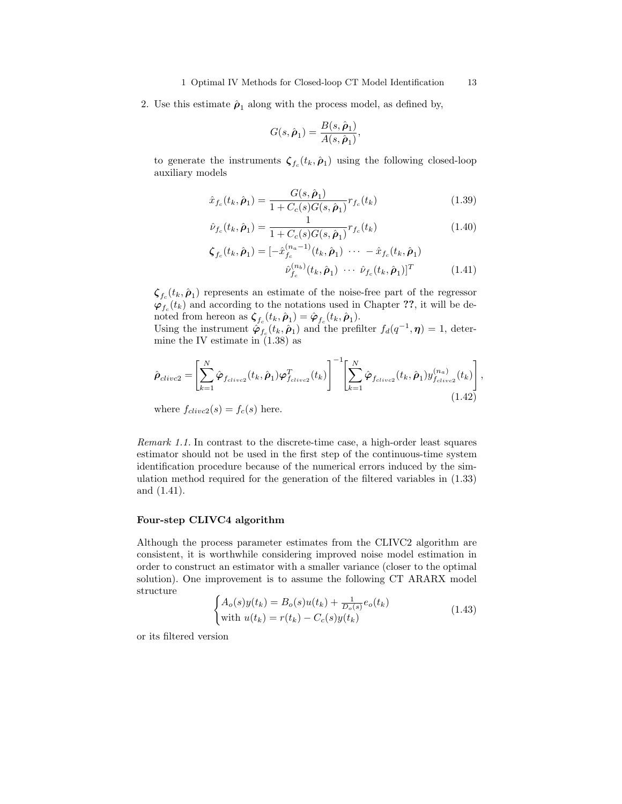2. Use this estimate  $\hat{\rho}_1$  along with the process model, as defined by,

$$
G(s,\hat{\boldsymbol{\rho}}_1) = \frac{B(s,\hat{\boldsymbol{\rho}}_1)}{A(s,\hat{\boldsymbol{\rho}}_1)},
$$

to generate the instruments  $\zeta_{f_c}(t_k, \hat{\rho}_1)$  using the following closed-loop auxiliary models

$$
\hat{x}_{f_c}(t_k, \hat{\boldsymbol{\rho}}_1) = \frac{G(s, \hat{\boldsymbol{\rho}}_1)}{1 + C_c(s)G(s, \hat{\boldsymbol{\rho}}_1)} r_{f_c}(t_k)
$$
\n(1.39)

$$
\hat{\nu}_{f_c}(t_k, \hat{\boldsymbol{\rho}}_1) = \frac{1}{1 + C_c(s)G(s, \hat{\boldsymbol{\rho}}_1)} r_{f_c}(t_k)
$$
\n(1.40)

$$
\zeta_{f_c}(t_k, \hat{\boldsymbol{\rho}}_1) = [-\hat{x}_{f_c}^{(n_a - 1)}(t_k, \hat{\boldsymbol{\rho}}_1) \cdots - \hat{x}_{f_c}(t_k, \hat{\boldsymbol{\rho}}_1) \n\hat{\nu}_{f_c}^{(n_b)}(t_k, \hat{\boldsymbol{\rho}}_1) \cdots \hat{\nu}_{f_c}(t_k, \hat{\boldsymbol{\rho}}_1)]^T
$$
\n(1.41)

 $\zeta_{f_c}(t_k, \hat{\boldsymbol{\rho}}_1)$  represents an estimate of the noise-free part of the regressor  $\varphi_{f_c}(t_k)$  and according to the notations used in Chapter ??, it will be denoted from hereon as  $\boldsymbol{\zeta}_{f_c}(t_k, \hat{\boldsymbol{\rho}}_1) = \hat{\boldsymbol{\varphi}}_{f_c}(t_k, \hat{\boldsymbol{\rho}}_1).$ 

Using the instrument  $\phi_{f_c}(t_k, \hat{\rho}_1)$  and the prefilter  $f_d(q^{-1}, \eta) = 1$ , determine the IV estimate in (1.38) as

$$
\hat{\boldsymbol{\rho}}_{clivc2} = \left[ \sum_{k=1}^{N} \hat{\boldsymbol{\varphi}}_{f_{clivc2}}(t_k, \hat{\boldsymbol{\rho}}_1) \boldsymbol{\varphi}_{f_{clivc2}}^T(t_k) \right]^{-1} \left[ \sum_{k=1}^{N} \hat{\boldsymbol{\varphi}}_{f_{clivc2}}(t_k, \hat{\boldsymbol{\rho}}_1) y_{f_{clivc2}}^{(n_a)}(t_k) \right],
$$
\n(1.42)

where  $f_{clivc2}(s) = f_c(s)$  here.

Remark 1.1. In contrast to the discrete-time case, a high-order least squares estimator should not be used in the first step of the continuous-time system identification procedure because of the numerical errors induced by the simulation method required for the generation of the filtered variables in (1.33) and (1.41).

## Four-step CLIVC4 algorithm

Although the process parameter estimates from the CLIVC2 algorithm are consistent, it is worthwhile considering improved noise model estimation in order to construct an estimator with a smaller variance (closer to the optimal solution). One improvement is to assume the following CT ARARX model structure

$$
\begin{cases} A_o(s)y(t_k) = B_o(s)u(t_k) + \frac{1}{D_o(s)}e_o(t_k) \\ \text{with } u(t_k) = r(t_k) - C_c(s)y(t_k) \end{cases}
$$
 (1.43)

or its filtered version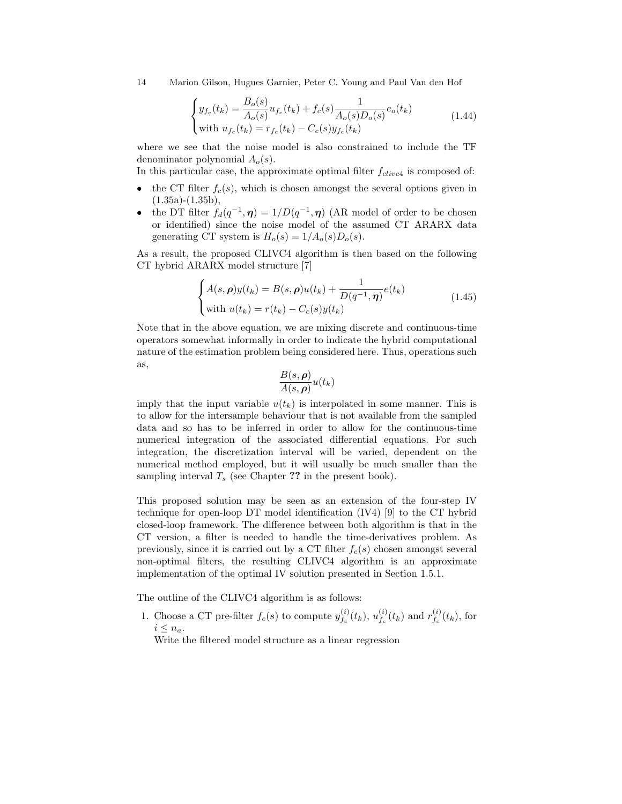14 Marion Gilson, Hugues Garnier, Peter C. Young and Paul Van den Hof

$$
\begin{cases} y_{f_c}(t_k) = \frac{B_o(s)}{A_o(s)} u_{f_c}(t_k) + f_c(s) \frac{1}{A_o(s)D_o(s)} e_o(t_k) \\ \text{with } u_{f_c}(t_k) = r_{f_c}(t_k) - C_c(s) y_{f_c}(t_k) \end{cases} \tag{1.44}
$$

where we see that the noise model is also constrained to include the TF denominator polynomial  $A_o(s)$ .

In this particular case, the approximate optimal filter  $f_{clivcl}$  is composed of:

- the CT filter  $f_c(s)$ , which is chosen amongst the several options given in  $(1.35a)-(1.35b),$
- the DT filter  $f_d(q^{-1}, \eta) = 1/D(q^{-1}, \eta)$  (AR model of order to be chosen or identified) since the noise model of the assumed CT ARARX data generating CT system is  $H_o(s) = 1/A_o(s)D_o(s)$ .

As a result, the proposed CLIVC4 algorithm is then based on the following CT hybrid ARARX model structure [7]

$$
\begin{cases} A(s,\boldsymbol{\rho})y(t_k) = B(s,\boldsymbol{\rho})u(t_k) + \frac{1}{D(q^{-1},\boldsymbol{\eta})}e(t_k) \\ \text{with } u(t_k) = r(t_k) - C_c(s)y(t_k) \end{cases}
$$
(1.45)

Note that in the above equation, we are mixing discrete and continuous-time operators somewhat informally in order to indicate the hybrid computational nature of the estimation problem being considered here. Thus, operations such as,

$$
\frac{B(s,\boldsymbol{\rho})}{A(s,\boldsymbol{\rho})}u(t_k)
$$

imply that the input variable  $u(t_k)$  is interpolated in some manner. This is to allow for the intersample behaviour that is not available from the sampled data and so has to be inferred in order to allow for the continuous-time numerical integration of the associated differential equations. For such integration, the discretization interval will be varied, dependent on the numerical method employed, but it will usually be much smaller than the sampling interval  $T_s$  (see Chapter ?? in the present book).

This proposed solution may be seen as an extension of the four-step IV technique for open-loop DT model identification (IV4) [9] to the CT hybrid closed-loop framework. The difference between both algorithm is that in the CT version, a filter is needed to handle the time-derivatives problem. As previously, since it is carried out by a CT filter  $f_c(s)$  chosen amongst several non-optimal filters, the resulting CLIVC4 algorithm is an approximate implementation of the optimal IV solution presented in Section 1.5.1.

The outline of the CLIVC4 algorithm is as follows:

1. Choose a CT pre-filter  $f_c(s)$  to compute  $y_{f_c}^{(i)}$  $y_{f_{c}}^{(i)}(t_{k}), \, u_{f_{c}}^{(i)}$  $f_c^{(i)}(t_k)$  and  $r_{f_c}^{(i)}$  $f_c^{(i)}(t_k)$ , for  $i \leq n_a$ .

Write the filtered model structure as a linear regression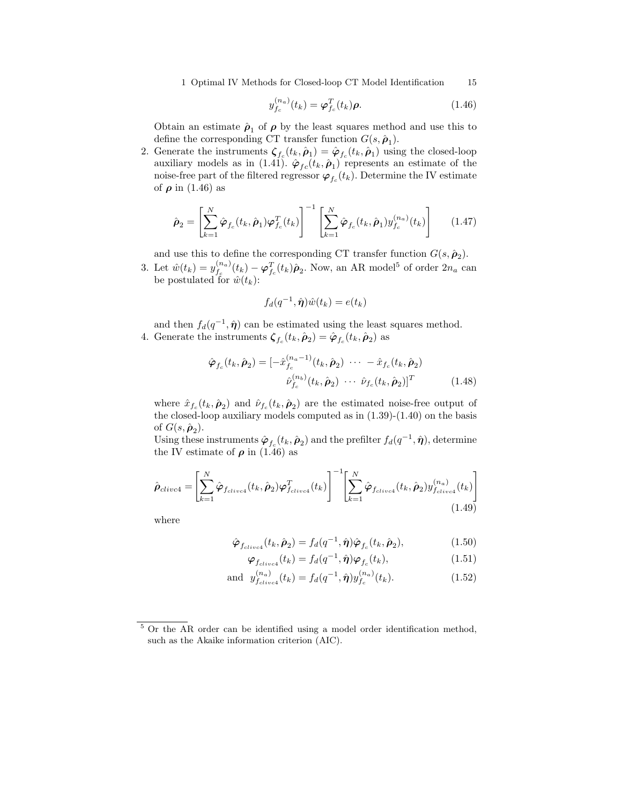1 Optimal IV Methods for Closed-loop CT Model Identification 15

$$
y_{f_c}^{(n_a)}(t_k) = \boldsymbol{\varphi}_{f_c}^T(t_k)\boldsymbol{\rho}.\tag{1.46}
$$

Obtain an estimate  $\hat{\rho}_1$  of  $\rho$  by the least squares method and use this to define the corresponding CT transfer function  $G(s, \hat{\rho}_1)$ .

2. Generate the instruments  $\zeta_{f_c}(t_k, \hat{\rho}_1) = \hat{\varphi}_{f_c}(t_k, \hat{\rho}_1)$  using the closed-loop auxiliary models as in (1.41).  $\hat{\varphi}_{fc}(t_k, \hat{\rho}_1)$  represents an estimate of the noise-free part of the filtered regressor  $\boldsymbol{\varphi}_{f_c}(t_k)$ . Determine the IV estimate of  $\rho$  in (1.46) as

$$
\hat{\rho}_2 = \left[ \sum_{k=1}^N \hat{\varphi}_{f_c}(t_k, \hat{\rho}_1) \varphi_{f_c}^T(t_k) \right]^{-1} \left[ \sum_{k=1}^N \hat{\varphi}_{f_c}(t_k, \hat{\rho}_1) y_{f_c}^{(n_a)}(t_k) \right] \tag{1.47}
$$

and use this to define the corresponding CT transfer function  $G(s, \hat{\rho}_2)$ .

3. Let  $\hat{w}(t_k) = y_{f_c}^{(n_a)}$  $f_c^{(n_a)}(t_k) - \varphi_{f_c}^T(t_k)\hat{\rho}_2$ . Now, an AR model<sup>5</sup> of order  $2n_a$  can be postulated for  $\hat{w}(t_k)$ :

$$
f_d(q^{-1}, \hat{\boldsymbol{\eta}})\hat{w}(t_k) = e(t_k)
$$

and then  $f_d(q^{-1}, \hat{\eta})$  can be estimated using the least squares method. 4. Generate the instruments  $\zeta_{f_c}(t_k, \hat{\rho}_2) = \hat{\varphi}_{f_c}(t_k, \hat{\rho}_2)$  as

$$
\hat{\boldsymbol{\varphi}}_{f_c}(t_k, \hat{\boldsymbol{\rho}}_2) = [-\hat{x}_{f_c}^{(n_a - 1)}(t_k, \hat{\boldsymbol{\rho}}_2) \cdots - \hat{x}_{f_c}(t_k, \hat{\boldsymbol{\rho}}_2) \n\hat{\nu}_{f_c}^{(n_b)}(t_k, \hat{\boldsymbol{\rho}}_2) \cdots \hat{\nu}_{f_c}(t_k, \hat{\boldsymbol{\rho}}_2)]^T
$$
\n(1.48)

where  $\hat{x}_{f_c}(t_k, \hat{\rho}_2)$  and  $\hat{\nu}_{f_c}(t_k, \hat{\rho}_2)$  are the estimated noise-free output of the closed-loop auxiliary models computed as in  $(1.39)-(1.40)$  on the basis of  $G(s, \hat{\boldsymbol{\rho}}_2)$ .

Using these instruments  $\hat{\varphi}_{f_c}(t_k, \hat{\rho}_2)$  and the prefilter  $f_d(q^{-1}, \hat{\eta})$ , determine the IV estimate of  $\rho$  in (1.46) as

$$
\hat{\rho}_{clivc4} = \left[ \sum_{k=1}^{N} \hat{\varphi}_{f_{clivc4}}(t_k, \hat{\rho}_2) \varphi_{f_{clivc4}}^T(t_k) \right]^{-1} \left[ \sum_{k=1}^{N} \hat{\varphi}_{f_{clivc4}}(t_k, \hat{\rho}_2) y_{f_{clivc4}}^{(n_a)}(t_k) \right]
$$
\n(1.49)

where

$$
\hat{\boldsymbol{\varphi}}_{f_{clive4}}(t_k, \hat{\boldsymbol{\rho}}_2) = f_d(q^{-1}, \hat{\boldsymbol{\eta}}) \hat{\boldsymbol{\varphi}}_{f_c}(t_k, \hat{\boldsymbol{\rho}}_2), \tag{1.50}
$$

$$
\boldsymbol{\varphi}_{f_{clivcl}}(t_k) = f_d(q^{-1}, \hat{\boldsymbol{\eta}}) \boldsymbol{\varphi}_{f_c}(t_k), \qquad (1.51)
$$

and 
$$
y_{f_{clive4}}^{(n_a)}(t_k) = f_d(q^{-1}, \hat{\boldsymbol{\eta}}) y_{f_c}^{(n_a)}(t_k).
$$
 (1.52)

<sup>5</sup> Or the AR order can be identified using a model order identification method, such as the Akaike information criterion (AIC).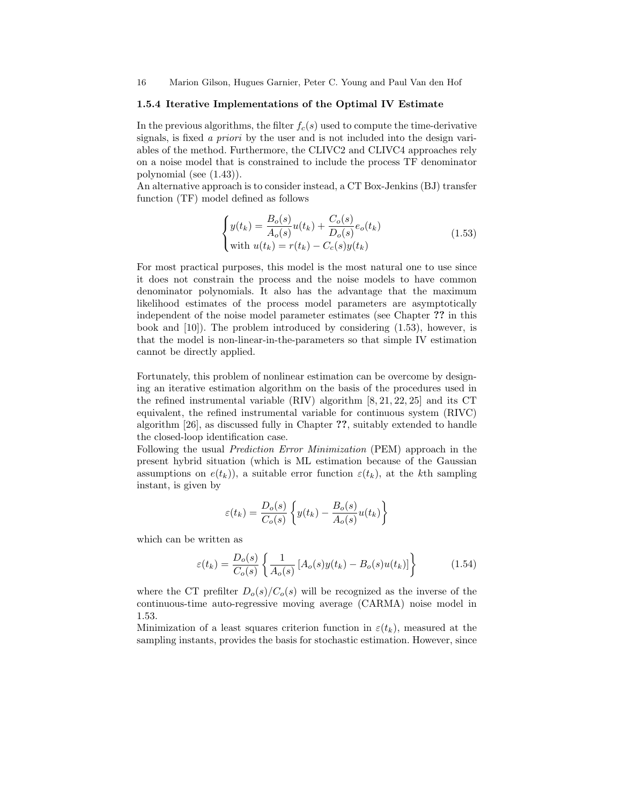16 Marion Gilson, Hugues Garnier, Peter C. Young and Paul Van den Hof

#### 1.5.4 Iterative Implementations of the Optimal IV Estimate

In the previous algorithms, the filter  $f_c(s)$  used to compute the time-derivative signals, is fixed a priori by the user and is not included into the design variables of the method. Furthermore, the CLIVC2 and CLIVC4 approaches rely on a noise model that is constrained to include the process TF denominator polynomial (see (1.43)).

An alternative approach is to consider instead, a CT Box-Jenkins (BJ) transfer function (TF) model defined as follows

$$
\begin{cases}\ny(t_k) = \frac{B_o(s)}{A_o(s)}u(t_k) + \frac{C_o(s)}{D_o(s)}e_o(t_k) \\
\text{with } u(t_k) = r(t_k) - C_c(s)y(t_k)\n\end{cases} \tag{1.53}
$$

For most practical purposes, this model is the most natural one to use since it does not constrain the process and the noise models to have common denominator polynomials. It also has the advantage that the maximum likelihood estimates of the process model parameters are asymptotically independent of the noise model parameter estimates (see Chapter ?? in this book and [10]). The problem introduced by considering (1.53), however, is that the model is non-linear-in-the-parameters so that simple IV estimation cannot be directly applied.

Fortunately, this problem of nonlinear estimation can be overcome by designing an iterative estimation algorithm on the basis of the procedures used in the refined instrumental variable (RIV) algorithm [8, 21, 22, 25] and its CT equivalent, the refined instrumental variable for continuous system (RIVC) algorithm [26], as discussed fully in Chapter ??, suitably extended to handle the closed-loop identification case.

Following the usual Prediction Error Minimization (PEM) approach in the present hybrid situation (which is ML estimation because of the Gaussian assumptions on  $e(t_k)$ , a suitable error function  $\varepsilon(t_k)$ , at the kth sampling instant, is given by

$$
\varepsilon(t_k) = \frac{D_o(s)}{C_o(s)} \left\{ y(t_k) - \frac{B_o(s)}{A_o(s)} u(t_k) \right\}
$$

which can be written as

$$
\varepsilon(t_k) = \frac{D_o(s)}{C_o(s)} \left\{ \frac{1}{A_o(s)} \left[ A_o(s) y(t_k) - B_o(s) u(t_k) \right] \right\}
$$
(1.54)

where the CT prefilter  $D_o(s)/C_o(s)$  will be recognized as the inverse of the continuous-time auto-regressive moving average (CARMA) noise model in 1.53.

Minimization of a least squares criterion function in  $\varepsilon(t_k)$ , measured at the sampling instants, provides the basis for stochastic estimation. However, since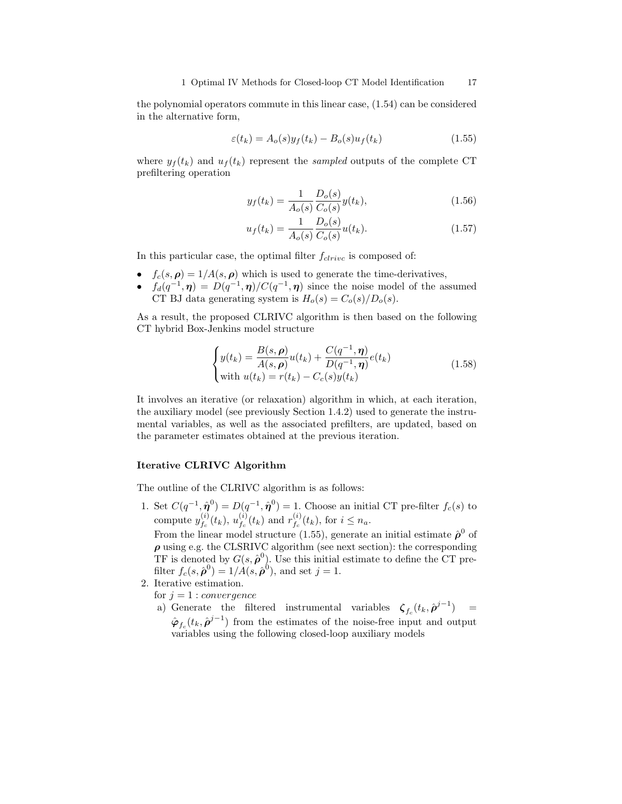the polynomial operators commute in this linear case, (1.54) can be considered in the alternative form,

$$
\varepsilon(t_k) = A_o(s)y_f(t_k) - B_o(s)u_f(t_k)
$$
\n(1.55)

where  $y_f(t_k)$  and  $u_f(t_k)$  represent the sampled outputs of the complete CT prefiltering operation

$$
y_f(t_k) = \frac{1}{A_o(s)} \frac{D_o(s)}{C_o(s)} y(t_k),
$$
\n(1.56)

$$
u_f(t_k) = \frac{1}{A_o(s)} \frac{D_o(s)}{C_o(s)} u(t_k).
$$
\n(1.57)

In this particular case, the optimal filter  $f_{clrive}$  is composed of:

- $f_c(s, \rho) = 1/A(s, \rho)$  which is used to generate the time-derivatives,
- $f_d(q^{-1}, \eta) = D(q^{-1}, \eta) / C(q^{-1}, \eta)$  since the noise model of the assumed CT BJ data generating system is  $H_o(s) = C_o(s)/D_o(s)$ .

As a result, the proposed CLRIVC algorithm is then based on the following CT hybrid Box-Jenkins model structure

$$
\begin{cases}\ny(t_k) = \frac{B(s, \rho)}{A(s, \rho)} u(t_k) + \frac{C(q^{-1}, \eta)}{D(q^{-1}, \eta)} e(t_k) \\
\text{with } u(t_k) = r(t_k) - C_c(s)y(t_k)\n\end{cases} \tag{1.58}
$$

It involves an iterative (or relaxation) algorithm in which, at each iteration, the auxiliary model (see previously Section 1.4.2) used to generate the instrumental variables, as well as the associated prefilters, are updated, based on the parameter estimates obtained at the previous iteration.

### Iterative CLRIVC Algorithm

The outline of the CLRIVC algorithm is as follows:

1. Set  $C(q^{-1}, \hat{\eta}^0) = D(q^{-1}, \hat{\eta}^0) = 1$ . Choose an initial CT pre-filter  $f_c(s)$  to compute  $y_{t_{-}}^{(i)}$  $_{f_{c}}^{(i)}(t_{k}),\,u_{f_{c}}^{(i)}$  $f_c^{(i)}(t_k)$  and  $r_{f_c}^{(i)}$  $f_c^{(i)}(t_k)$ , for  $i \leq n_a$ .

From the linear model structure (1.55), generate an initial estimate  $\hat{\rho}^0$  of  $\rho$  using e.g. the CLSRIVC algorithm (see next section): the corresponding TF is denoted by  $G(s, \hat{\boldsymbol{\rho}}^0)$ . Use this initial estimate to define the CT prefilter  $f_c(s, \hat{\boldsymbol{\rho}}^0) = 1/A(s, \hat{\boldsymbol{\rho}}^0)$ , and set  $j = 1$ .

- 2. Iterative estimation.
	- for  $j = 1$  : convergence
	- a) Generate the filtered instrumental variables  $\zeta_{f_c}(t_k, \hat{\rho}^{j-1})$  =  $\hat{\varphi}_{f_c}(t_k, \hat{\rho}^{j-1})$  from the estimates of the noise-free input and output variables using the following closed-loop auxiliary models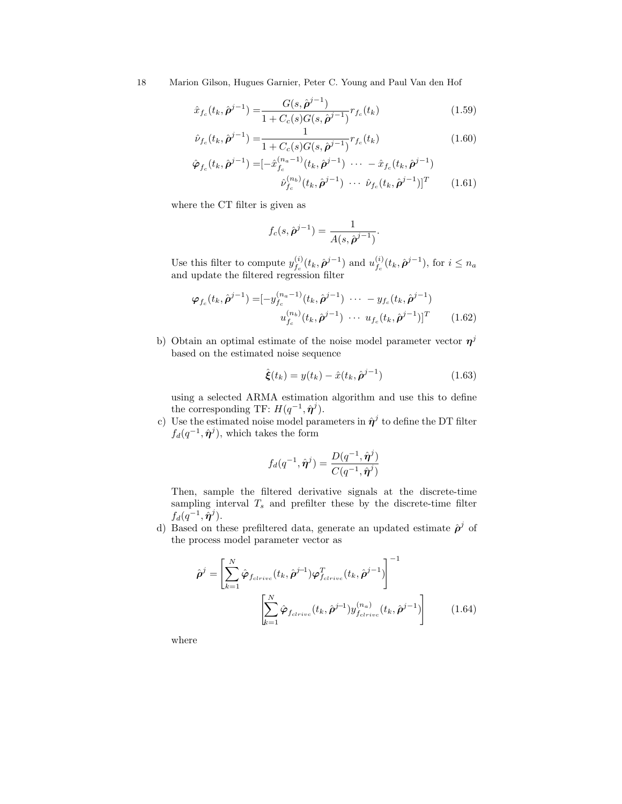18 Marion Gilson, Hugues Garnier, Peter C. Young and Paul Van den Hof

$$
\hat{x}_{f_c}(t_k, \hat{\boldsymbol{\rho}}^{j-1}) = \frac{G(s, \hat{\boldsymbol{\rho}}^{j-1})}{1 + C_c(s)G(s, \hat{\boldsymbol{\rho}}^{j-1})} r_{f_c}(t_k)
$$
\n(1.59)

$$
\hat{\nu}_{f_c}(t_k, \hat{\boldsymbol{\rho}}^{j-1}) = \frac{1}{1 + C_c(s)G(s, \hat{\boldsymbol{\rho}}^{j-1})} r_{f_c}(t_k)
$$
\n(1.60)

$$
\hat{\varphi}_{f_c}(t_k, \hat{\boldsymbol{\rho}}^{j-1}) = [-\hat{x}_{f_c}^{(n_a-1)}(t_k, \hat{\boldsymbol{\rho}}^{j-1}) \cdots - \hat{x}_{f_c}(t_k, \hat{\boldsymbol{\rho}}^{j-1})
$$

$$
\hat{\nu}_{f_c}^{(n_b)}(t_k, \hat{\boldsymbol{\rho}}^{j-1}) \cdots \hat{\nu}_{f_c}(t_k, \hat{\boldsymbol{\rho}}^{j-1})]^T
$$
(1.61)

where the CT filter is given as

$$
f_c(s,\hat{\boldsymbol{\rho}}^{j-1}) = \frac{1}{A(s,\hat{\boldsymbol{\rho}}^{j-1})}.
$$

Use this filter to compute  $y_f^{(i)}$  $f_c^{(i)}(t_k, \hat{\boldsymbol{\rho}}^{j-1})$  and  $u_{f_c}^{(i)}$  $_{f_c}^{(i)}(t_k, \hat{\boldsymbol{\rho}}^{j-1}),$  for  $i \leq n_a$ and update the filtered regression filter

$$
\varphi_{f_c}(t_k, \hat{\boldsymbol{\rho}}^{j-1}) = [-y_{f_c}^{(n_a-1)}(t_k, \hat{\boldsymbol{\rho}}^{j-1}) \cdots - y_{f_c}(t_k, \hat{\boldsymbol{\rho}}^{j-1})
$$

$$
u_{f_c}^{(n_b)}(t_k, \hat{\boldsymbol{\rho}}^{j-1}) \cdots u_{f_c}(t_k, \hat{\boldsymbol{\rho}}^{j-1})]^T
$$
(1.62)

b) Obtain an optimal estimate of the noise model parameter vector  $\eta^j$ based on the estimated noise sequence

$$
\hat{\boldsymbol{\xi}}(t_k) = y(t_k) - \hat{x}(t_k, \hat{\boldsymbol{\rho}}^{j-1})
$$
\n(1.63)

using a selected ARMA estimation algorithm and use this to define the corresponding TF:  $H(q^{-1}, \hat{\pmb{\eta}}^j)$ .

c) Use the estimated noise model parameters in  $\hat{\eta}^j$  to define the DT filter  $f_d(q^{-1}, \hat{\boldsymbol{\eta}}^j)$ , which takes the form

$$
f_d(q^{-1}, \hat{\boldsymbol{\eta}}^j) = \frac{D(q^{-1}, \hat{\boldsymbol{\eta}}^j)}{C(q^{-1}, \hat{\boldsymbol{\eta}}^j)}
$$

Then, sample the filtered derivative signals at the discrete-time sampling interval  $T_s$  and prefilter these by the discrete-time filter  $f_d(q^{-1}, \hat{\boldsymbol{\eta}}^j).$ 

d) Based on these prefiltered data, generate an updated estimate  $\hat{\rho}^j$  of the process model parameter vector as

$$
\hat{\boldsymbol{\rho}}^j = \left[ \sum_{k=1}^N \hat{\boldsymbol{\varphi}}_{f_{clrive}}(t_k, \hat{\boldsymbol{\rho}}^{j-1}) \boldsymbol{\varphi}_{f_{clrive}}^T(t_k, \hat{\boldsymbol{\rho}}^{j-1}) \right]^{-1}
$$

$$
\left[ \sum_{k=1}^N \hat{\boldsymbol{\varphi}}_{f_{clrive}}(t_k, \hat{\boldsymbol{\rho}}^{j-1}) y_{f_{clrive}}^{(n_a)}(t_k, \hat{\boldsymbol{\rho}}^{j-1}) \right] \tag{1.64}
$$

where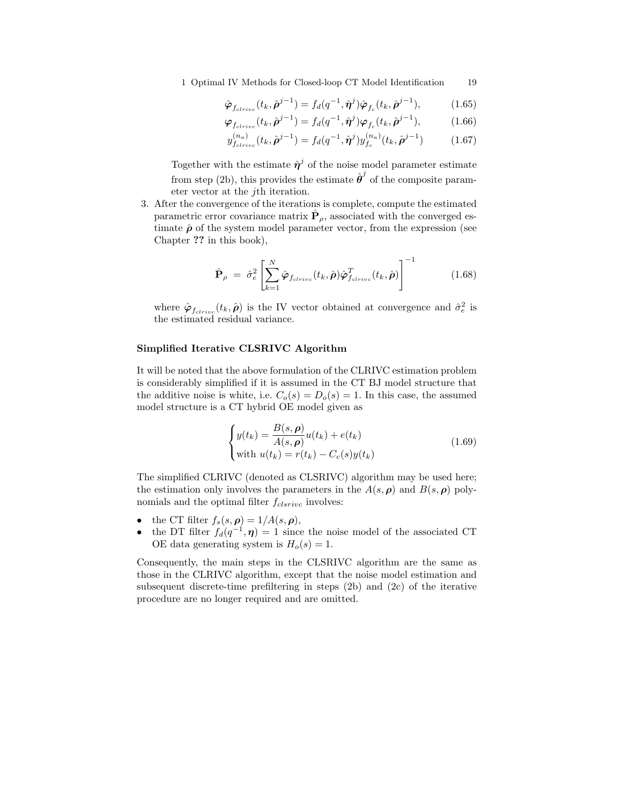1 Optimal IV Methods for Closed-loop CT Model Identification 19

$$
\hat{\varphi}_{f_{clrive}}(t_k, \hat{\rho}^{j-1}) = f_d(q^{-1}, \hat{\eta}^j) \hat{\varphi}_{f_c}(t_k, \hat{\rho}^{j-1}), \tag{1.65}
$$

$$
\boldsymbol{\varphi}_{f_{clrive}}(t_k, \hat{\boldsymbol{\rho}}^{j-1}) = f_d(q^{-1}, \hat{\boldsymbol{\eta}}^j) \boldsymbol{\varphi}_{f_c}(t_k, \hat{\boldsymbol{\rho}}^{j-1}), \tag{1.66}
$$

$$
y_{f_{clrive}}^{(n_a)}(t_k, \hat{\boldsymbol{\rho}}^{j-1}) = f_d(q^{-1}, \hat{\boldsymbol{\eta}}^j) y_{f_c}^{(n_a)}(t_k, \hat{\boldsymbol{\rho}}^{j-1}) \tag{1.67}
$$

Together with the estimate  $\hat{\eta}^j$  of the noise model parameter estimate from step (2b), this provides the estimate  $\hat{\boldsymbol{\theta}}^j$  of the composite parameter vector at the jth iteration.

3. After the convergence of the iterations is complete, compute the estimated parametric error covariance matrix  $\hat{\mathbf{P}}_{\rho}$ , associated with the converged estimate  $\hat{\rho}$  of the system model parameter vector, from the expression (see Chapter ?? in this book),

$$
\hat{\mathbf{P}}_{\rho} = \hat{\sigma}_e^2 \left[ \sum_{k=1}^N \hat{\boldsymbol{\varphi}}_{f_{clrive}}(t_k, \hat{\boldsymbol{\rho}}) \hat{\boldsymbol{\varphi}}_{f_{clrive}}^T(t_k, \hat{\boldsymbol{\rho}}) \right]^{-1} \tag{1.68}
$$

where  $\hat{\varphi}_{f_{clrive}}(t_k, \hat{\rho})$  is the IV vector obtained at convergence and  $\hat{\sigma}_e^2$  is the estimated residual variance.

## Simplified Iterative CLSRIVC Algorithm

It will be noted that the above formulation of the CLRIVC estimation problem is considerably simplified if it is assumed in the CT BJ model structure that the additive noise is white, i.e.  $C_o(s) = D_o(s) = 1$ . In this case, the assumed model structure is a CT hybrid OE model given as

$$
\begin{cases}\ny(t_k) = \frac{B(s, \rho)}{A(s, \rho)}u(t_k) + e(t_k) \\
\text{with } u(t_k) = r(t_k) - C_c(s)y(t_k)\n\end{cases} \tag{1.69}
$$

The simplified CLRIVC (denoted as CLSRIVC) algorithm may be used here; the estimation only involves the parameters in the  $A(s, \rho)$  and  $B(s, \rho)$  polynomials and the optimal filter  $f_{clsrive}$  involves:

- the CT filter  $f_s(s, \rho) = 1/A(s, \rho)$ ,
- the DT filter  $f_d(q^{-1}, \eta) = 1$  since the noise model of the associated CT OE data generating system is  $H_o(s) = 1$ .

Consequently, the main steps in the CLSRIVC algorithm are the same as those in the CLRIVC algorithm, except that the noise model estimation and subsequent discrete-time prefiltering in steps (2b) and (2c) of the iterative procedure are no longer required and are omitted.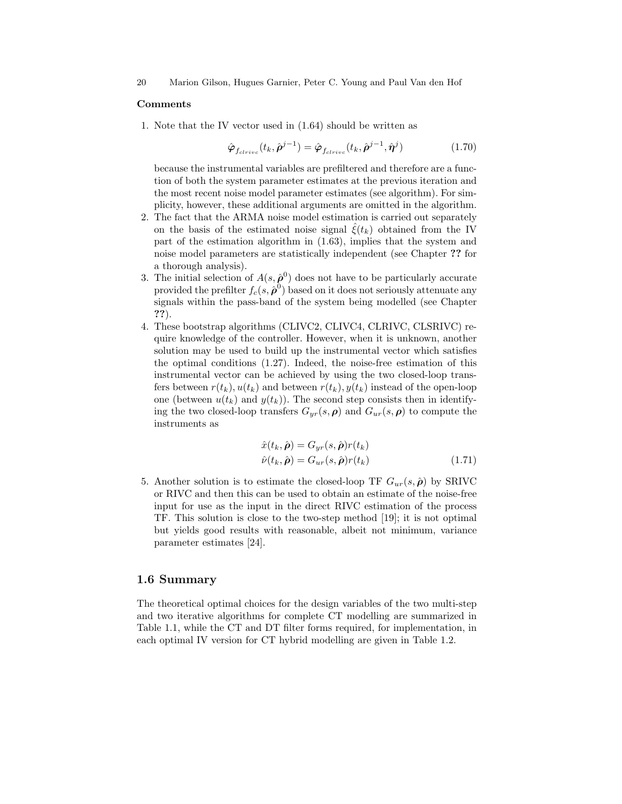#### Comments

1. Note that the IV vector used in (1.64) should be written as

$$
\hat{\boldsymbol{\varphi}}_{f_{clrive}}(t_k, \hat{\boldsymbol{\rho}}^{j-1}) = \hat{\boldsymbol{\varphi}}_{f_{clrive}}(t_k, \hat{\boldsymbol{\rho}}^{j-1}, \hat{\boldsymbol{\eta}}^j)
$$
(1.70)

because the instrumental variables are prefiltered and therefore are a function of both the system parameter estimates at the previous iteration and the most recent noise model parameter estimates (see algorithm). For simplicity, however, these additional arguments are omitted in the algorithm.

- 2. The fact that the ARMA noise model estimation is carried out separately on the basis of the estimated noise signal  $\xi(t_k)$  obtained from the IV part of the estimation algorithm in (1.63), implies that the system and noise model parameters are statistically independent (see Chapter ?? for a thorough analysis).
- 3. The initial selection of  $A(s, \hat{\boldsymbol{\rho}}^0)$  does not have to be particularly accurate provided the prefilter  $f_c(s, \hat{\rho}^0)$  based on it does not seriously attenuate any signals within the pass-band of the system being modelled (see Chapter ??).
- 4. These bootstrap algorithms (CLIVC2, CLIVC4, CLRIVC, CLSRIVC) require knowledge of the controller. However, when it is unknown, another solution may be used to build up the instrumental vector which satisfies the optimal conditions (1.27). Indeed, the noise-free estimation of this instrumental vector can be achieved by using the two closed-loop transfers between  $r(t_k)$ ,  $u(t_k)$  and between  $r(t_k)$ ,  $y(t_k)$  instead of the open-loop one (between  $u(t_k)$  and  $y(t_k)$ ). The second step consists then in identifying the two closed-loop transfers  $G_{yr}(s, \rho)$  and  $G_{ur}(s, \rho)$  to compute the instruments as

$$
\hat{x}(t_k, \hat{\boldsymbol{\rho}}) = G_{yr}(s, \hat{\boldsymbol{\rho}}) r(t_k)
$$
  

$$
\hat{\nu}(t_k, \hat{\boldsymbol{\rho}}) = G_{ur}(s, \hat{\boldsymbol{\rho}}) r(t_k)
$$
 (1.71)

5. Another solution is to estimate the closed-loop TF  $G_{ur}(s, \hat{\boldsymbol{\rho}})$  by SRIVC or RIVC and then this can be used to obtain an estimate of the noise-free input for use as the input in the direct RIVC estimation of the process TF. This solution is close to the two-step method [19]; it is not optimal but yields good results with reasonable, albeit not minimum, variance parameter estimates [24].

## 1.6 Summary

The theoretical optimal choices for the design variables of the two multi-step and two iterative algorithms for complete CT modelling are summarized in Table 1.1, while the CT and DT filter forms required, for implementation, in each optimal IV version for CT hybrid modelling are given in Table 1.2.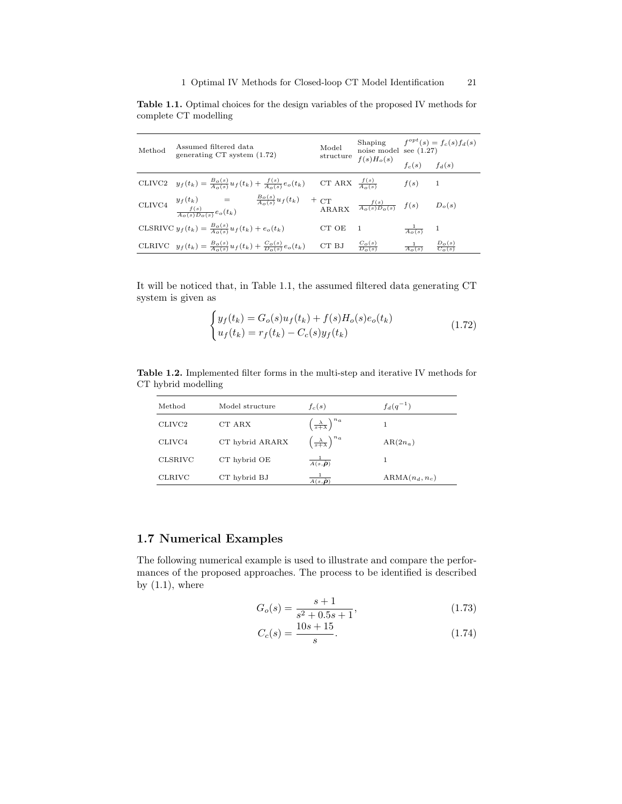Table 1.1. Optimal choices for the design variables of the proposed IV methods for complete CT modelling

| Method | Assumed filtered data<br>generating $CT$ system $(1.72)$                                                                                                                                                          |  | Model<br>structure            | $f(s)H_o(s)$ $f_c(s)$ $f_d(s)$ | Shaping $f^{opt}(s) = f_c(s) f_d(s)$<br>noise model see (1.27) |  |
|--------|-------------------------------------------------------------------------------------------------------------------------------------------------------------------------------------------------------------------|--|-------------------------------|--------------------------------|----------------------------------------------------------------|--|
|        |                                                                                                                                                                                                                   |  |                               |                                |                                                                |  |
|        | CLIVC2 $y_f(t_k) = \frac{B_o(s)}{A_o(s)} u_f(t_k) + \frac{f(s)}{A_o(s)} e_o(t_k)$ CT ARX $\frac{f(s)}{A_o(s)}$ $f(s)$ 1                                                                                           |  |                               |                                |                                                                |  |
|        | $\text{CLIVC4}\quad \begin{array}{lcl} y_f(t_k) &=& \frac{B_o(s)}{A_o(s)}u_f(t_k) & +\text{CT} &\\ \frac{f(s)}{A_o(s)D_o(s)}e_o(t_k) && \text{ARARX}\quad \frac{f(s)}{A_o(s)D_o(s)} & f(s) && D_o(s) \end{array}$ |  |                               |                                |                                                                |  |
|        | CLSRIVC $y_f(t_k) = \frac{B_o(s)}{A_o(s)} u_f(t_k) + e_o(t_k)$                                                                                                                                                    |  | CT OE                         | $\overline{1}$                 | $\frac{1}{A_o(s)}$ 1                                           |  |
|        | CLRIVC $y_f(t_k) = \frac{B_o(s)}{A_o(s)} u_f(t_k) + \frac{C_o(s)}{D_o(s)} e_o(t_k)$                                                                                                                               |  | CT BJ $\frac{C_o(s)}{D_o(s)}$ |                                | $rac{1}{A_o(s)}$ $rac{D_o(s)}{C_o(s)}$                         |  |

It will be noticed that, in Table 1.1, the assumed filtered data generating CT system is given as

$$
\begin{cases}\ny_f(t_k) = G_o(s)u_f(t_k) + f(s)H_o(s)e_o(t_k) \\
u_f(t_k) = r_f(t_k) - C_c(s)y_f(t_k)\n\end{cases} \tag{1.72}
$$

Table 1.2. Implemented filter forms in the multi-step and iterative IV methods for CT hybrid modelling

| Method             | Model structure | $f_c(s)$                                                          | $f_d(q^{-1})$    |
|--------------------|-----------------|-------------------------------------------------------------------|------------------|
| CLIVC <sub>2</sub> | CT ARX          | $\left(\frac{\lambda}{s+\lambda}\right)^{n_a}$                    |                  |
| CLIVC4             | CT hybrid ARARX | $\setminus n_a$<br>$\left(\frac{\lambda}{s+\lambda}\right)^{n_0}$ | $AR(2n_a)$       |
| CLSRIVC            | CT hybrid OE    | $\frac{1}{A(s,\hat{\boldsymbol{\rho}})}$                          |                  |
| <b>CLRIVC</b>      | CT hybrid BJ    | $A(s,\hat{\boldsymbol{\rho}})$                                    | $ARMA(n_d, n_c)$ |

# 1.7 Numerical Examples

The following numerical example is used to illustrate and compare the performances of the proposed approaches. The process to be identified is described by  $(1.1)$ , where

$$
G_o(s) = \frac{s+1}{s^2 + 0.5s + 1},\tag{1.73}
$$

$$
C_c(s) = \frac{10s + 15}{s}.\tag{1.74}
$$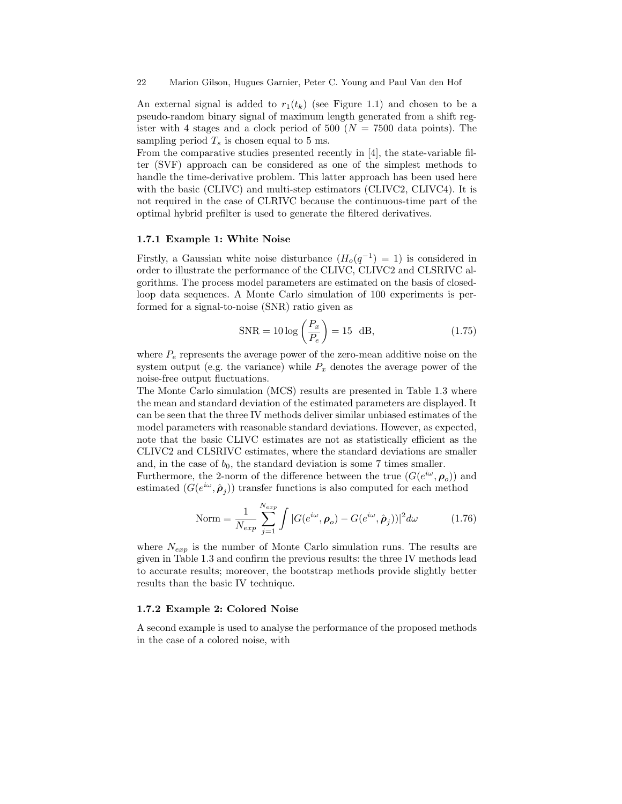22 Marion Gilson, Hugues Garnier, Peter C. Young and Paul Van den Hof

An external signal is added to  $r_1(t_k)$  (see Figure 1.1) and chosen to be a pseudo-random binary signal of maximum length generated from a shift register with 4 stages and a clock period of 500 ( $N = 7500$  data points). The sampling period  $T_s$  is chosen equal to 5 ms.

From the comparative studies presented recently in [4], the state-variable filter (SVF) approach can be considered as one of the simplest methods to handle the time-derivative problem. This latter approach has been used here with the basic (CLIVC) and multi-step estimators (CLIVC2, CLIVC4). It is not required in the case of CLRIVC because the continuous-time part of the optimal hybrid prefilter is used to generate the filtered derivatives.

### 1.7.1 Example 1: White Noise

Firstly, a Gaussian white noise disturbance  $(H_o(q^{-1}) = 1)$  is considered in order to illustrate the performance of the CLIVC, CLIVC2 and CLSRIVC algorithms. The process model parameters are estimated on the basis of closedloop data sequences. A Monte Carlo simulation of 100 experiments is performed for a signal-to-noise (SNR) ratio given as

$$
SNR = 10 \log \left(\frac{P_x}{P_e}\right) = 15 \text{ dB},\qquad (1.75)
$$

where  $P_e$  represents the average power of the zero-mean additive noise on the system output (e.g. the variance) while  $P_x$  denotes the average power of the noise-free output fluctuations.

The Monte Carlo simulation (MCS) results are presented in Table 1.3 where the mean and standard deviation of the estimated parameters are displayed. It can be seen that the three IV methods deliver similar unbiased estimates of the model parameters with reasonable standard deviations. However, as expected, note that the basic CLIVC estimates are not as statistically efficient as the CLIVC2 and CLSRIVC estimates, where the standard deviations are smaller and, in the case of  $b_0$ , the standard deviation is some 7 times smaller.

Furthermore, the 2-norm of the difference between the true  $(G(e^{i\omega}, \rho_o))$  and estimated  $(G(e^{i\omega}, \hat{\rho}_j))$  transfer functions is also computed for each method

$$
\text{Norm} = \frac{1}{N_{exp}} \sum_{j=1}^{N_{exp}} \int |G(e^{i\omega}, \boldsymbol{\rho}_o) - G(e^{i\omega}, \hat{\boldsymbol{\rho}}_j))|^2 d\omega \tag{1.76}
$$

where  $N_{exp}$  is the number of Monte Carlo simulation runs. The results are given in Table 1.3 and confirm the previous results: the three IV methods lead to accurate results; moreover, the bootstrap methods provide slightly better results than the basic IV technique.

#### 1.7.2 Example 2: Colored Noise

A second example is used to analyse the performance of the proposed methods in the case of a colored noise, with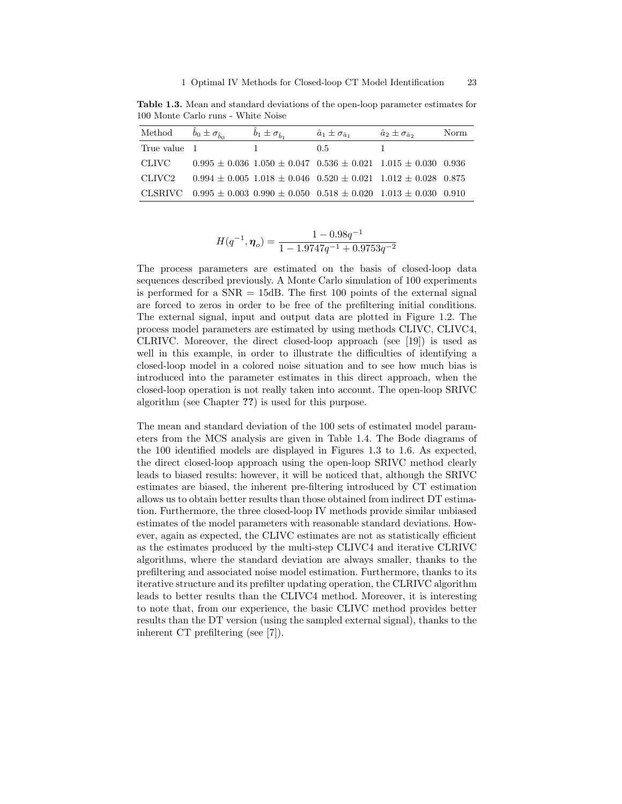Table 1.3. Mean and standard deviations of the open-loop parameter estimates for 100 Monte Carlo runs - White Noise

|              | Method $\hat{b}_0 \pm \sigma_{\hat{b}_0}$ $\hat{b}_1 \pm \sigma_{\hat{b}_1}$ |          | $\hat{a}_1 \pm \sigma_{\hat{a}_1}$                                                      | $\hat{a}_2 \pm \sigma_{\hat{a}_2}$ | Norm |
|--------------|------------------------------------------------------------------------------|----------|-----------------------------------------------------------------------------------------|------------------------------------|------|
| True value 1 |                                                                              | $\sim$ 1 | 0.5                                                                                     |                                    |      |
|              |                                                                              |          | CLIVC $0.995 \pm 0.036$ $1.050 \pm 0.047$ $0.536 \pm 0.021$ $1.015 \pm 0.030$ $0.936$   |                                    |      |
| CLIVC2       |                                                                              |          | $0.994 \pm 0.005$ 1.018 $\pm$ 0.046 0.520 $\pm$ 0.021 1.012 $\pm$ 0.028 0.875           |                                    |      |
|              |                                                                              |          | CLSRIVC $0.995 \pm 0.003$ $0.990 \pm 0.050$ $0.518 \pm 0.020$ $1.013 \pm 0.030$ $0.910$ |                                    |      |

$$
H(q^{-1}, \eta_o) = \frac{1-0.98q^{-1}}{1-1.9747q^{-1}+0.9753q^{-2}}
$$

The process parameters are estimated on the basis of closed-loop data sequences described previously. A Monte Carlo simulation of 100 experiments is performed for a  $SNR = 15dB$ . The first 100 points of the external signal are forced to zeros in order to be free of the prefiltering initial conditions. The external signal, input and output data are plotted in Figure 1.2. The process model parameters are estimated by using methods CLIVC, CLIVC4, CLRIVC. Moreover, the direct closed-loop approach (see [19]) is used as well in this example, in order to illustrate the difficulties of identifying a closed-loop model in a colored noise situation and to see how much bias is introduced into the parameter estimates in this direct approach, when the closed-loop operation is not really taken into account. The open-loop SRIVC algorithm (see Chapter ??) is used for this purpose.

The mean and standard deviation of the 100 sets of estimated model parameters from the MCS analysis are given in Table 1.4. The Bode diagrams of the 100 identified models are displayed in Figures 1.3 to 1.6. As expected, the direct closed-loop approach using the open-loop SRIVC method clearly leads to biased results: however, it will be noticed that, although the SRIVC estimates are biased, the inherent pre-filtering introduced by CT estimation allows us to obtain better results than those obtained from indirect DT estimation. Furthermore, the three closed-loop IV methods provide similar unbiased estimates of the model parameters with reasonable standard deviations. However, again as expected, the CLIVC estimates are not as statistically efficient as the estimates produced by the multi-step CLIVC4 and iterative CLRIVC algorithms, where the standard deviation are always smaller, thanks to the prefiltering and associated noise model estimation. Furthermore, thanks to its iterative structure and its prefilter updating operation, the CLRIVC algorithm leads to better results than the CLIVC4 method. Moreover, it is interesting to note that, from our experience, the basic CLIVC method provides better results than the DT version (using the sampled external signal), thanks to the inherent CT prefiltering (see [7]).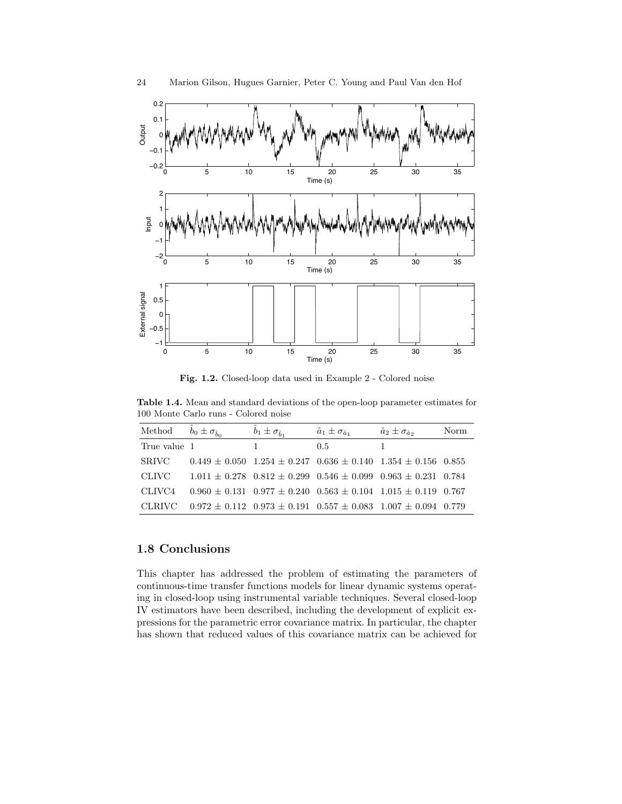

Fig. 1.2. Closed-loop data used in Example 2 - Colored noise

Table 1.4. Mean and standard deviations of the open-loop parameter estimates for 100 Monte Carlo runs - Colored noise

| Method       | $\hat{b}_0 \pm \sigma_{\hat{b}_0}$ | $\hat{b}_1 \pm \sigma_{\hat{b}_1}$ | $\hat{a}_1 \pm \sigma_{\hat{a}_1}$ | $\hat{a}_2 \pm \sigma_{\hat{a}_2}$                                                   | Norm |
|--------------|------------------------------------|------------------------------------|------------------------------------|--------------------------------------------------------------------------------------|------|
| True value 1 |                                    | 1.                                 | 0.5                                |                                                                                      |      |
| <b>SRIVC</b> |                                    |                                    |                                    | $0.449 \pm 0.050$ $1.254 \pm 0.247$ $0.636 \pm 0.140$ $1.354 \pm 0.156$ $0.855$      |      |
| CLIVC -      |                                    |                                    |                                    | $1.011 \pm 0.278$ $0.812 \pm 0.299$ $0.546 \pm 0.099$ $0.963 \pm 0.231$ $0.784$      |      |
| CLIVC4       |                                    |                                    |                                    | $0.960 \pm 0.131$ $0.977 \pm 0.240$ $0.563 \pm 0.104$ $1.015 \pm 0.119$ $0.767$      |      |
|              |                                    |                                    |                                    | CLRIVC $0.972 \pm 0.112$ $0.973 \pm 0.191$ $0.557 \pm 0.083$ $1.007 \pm 0.094$ 0.779 |      |

# 1.8 Conclusions

This chapter has addressed the problem of estimating the parameters of continuous-time transfer functions models for linear dynamic systems operating in closed-loop using instrumental variable techniques. Several closed-loop IV estimators have been described, including the development of explicit expressions for the parametric error covariance matrix. In particular, the chapter has shown that reduced values of this covariance matrix can be achieved for

24 Marion Gilson, Hugues Garnier, Peter C. Young and Paul Van den Hof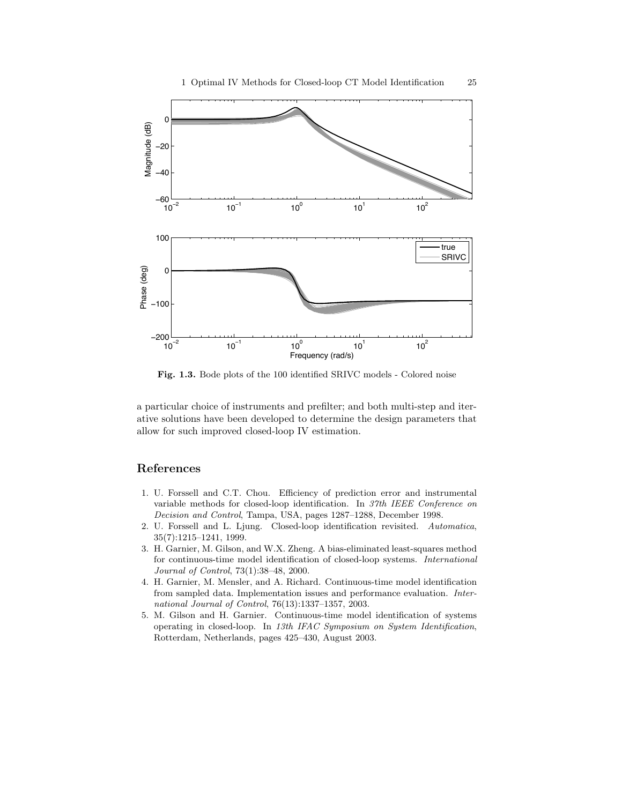

Fig. 1.3. Bode plots of the 100 identified SRIVC models - Colored noise

a particular choice of instruments and prefilter; and both multi-step and iterative solutions have been developed to determine the design parameters that allow for such improved closed-loop IV estimation.

# References

- 1. U. Forssell and C.T. Chou. Efficiency of prediction error and instrumental variable methods for closed-loop identification. In 37th IEEE Conference on Decision and Control, Tampa, USA, pages 1287–1288, December 1998.
- 2. U. Forssell and L. Ljung. Closed-loop identification revisited. Automatica, 35(7):1215–1241, 1999.
- 3. H. Garnier, M. Gilson, and W.X. Zheng. A bias-eliminated least-squares method for continuous-time model identification of closed-loop systems. International Journal of Control, 73(1):38–48, 2000.
- 4. H. Garnier, M. Mensler, and A. Richard. Continuous-time model identification from sampled data. Implementation issues and performance evaluation. International Journal of Control, 76(13):1337–1357, 2003.
- 5. M. Gilson and H. Garnier. Continuous-time model identification of systems operating in closed-loop. In 13th IFAC Symposium on System Identification, Rotterdam, Netherlands, pages 425–430, August 2003.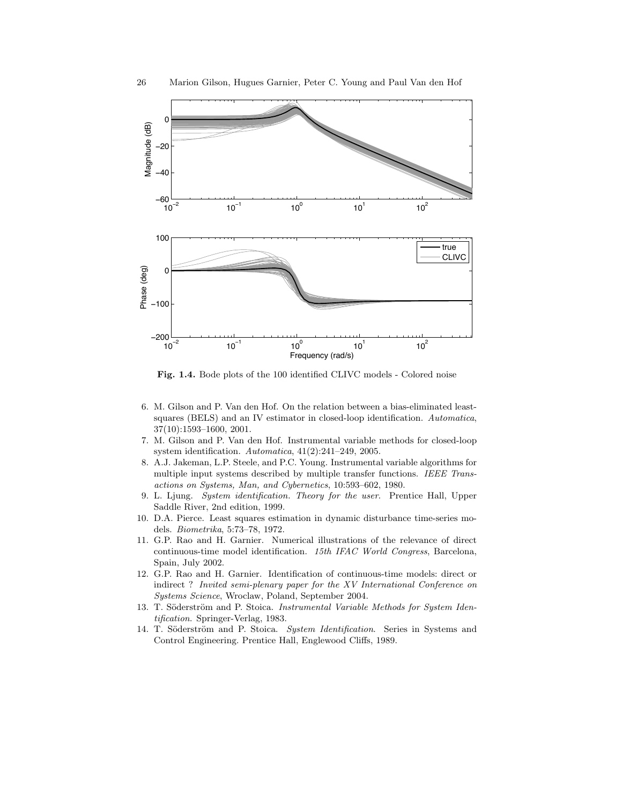

Fig. 1.4. Bode plots of the 100 identified CLIVC models - Colored noise

- 6. M. Gilson and P. Van den Hof. On the relation between a bias-eliminated leastsquares (BELS) and an IV estimator in closed-loop identification. Automatica, 37(10):1593–1600, 2001.
- 7. M. Gilson and P. Van den Hof. Instrumental variable methods for closed-loop system identification. Automatica, 41(2):241–249, 2005.
- 8. A.J. Jakeman, L.P. Steele, and P.C. Young. Instrumental variable algorithms for multiple input systems described by multiple transfer functions. IEEE Transactions on Systems, Man, and Cybernetics, 10:593–602, 1980.
- 9. L. Ljung. System identification. Theory for the user. Prentice Hall, Upper Saddle River, 2nd edition, 1999.
- 10. D.A. Pierce. Least squares estimation in dynamic disturbance time-series models. Biometrika, 5:73–78, 1972.
- 11. G.P. Rao and H. Garnier. Numerical illustrations of the relevance of direct continuous-time model identification. 15th IFAC World Congress, Barcelona, Spain, July 2002.
- 12. G.P. Rao and H. Garnier. Identification of continuous-time models: direct or indirect ? Invited semi-plenary paper for the XV International Conference on Systems Science, Wroclaw, Poland, September 2004.
- 13. T. Söderström and P. Stoica. Instrumental Variable Methods for System Identification. Springer-Verlag, 1983.
- 14. T. Söderström and P. Stoica. System Identification. Series in Systems and Control Engineering. Prentice Hall, Englewood Cliffs, 1989.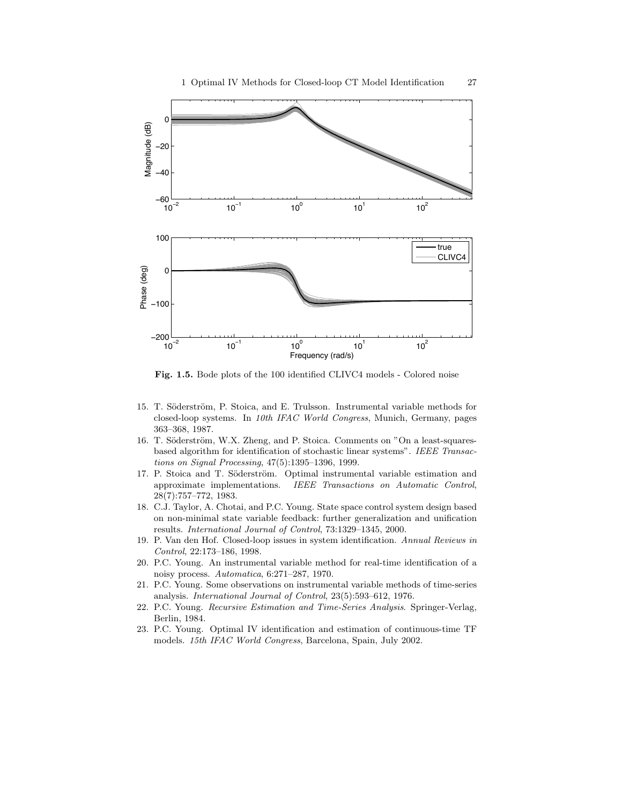

Fig. 1.5. Bode plots of the 100 identified CLIVC4 models - Colored noise

- 15. T. Söderström, P. Stoica, and E. Trulsson. Instrumental variable methods for closed-loop systems. In 10th IFAC World Congress, Munich, Germany, pages 363–368, 1987.
- 16. T. Söderström, W.X. Zheng, and P. Stoica. Comments on "On a least-squaresbased algorithm for identification of stochastic linear systems". IEEE Transactions on Signal Processing, 47(5):1395–1396, 1999.
- 17. P. Stoica and T. Söderström. Optimal instrumental variable estimation and approximate implementations. IEEE Transactions on Automatic Control, 28(7):757–772, 1983.
- 18. C.J. Taylor, A. Chotai, and P.C. Young. State space control system design based on non-minimal state variable feedback: further generalization and unification results. International Journal of Control, 73:1329–1345, 2000.
- 19. P. Van den Hof. Closed-loop issues in system identification. Annual Reviews in Control, 22:173–186, 1998.
- 20. P.C. Young. An instrumental variable method for real-time identification of a noisy process. Automatica, 6:271–287, 1970.
- 21. P.C. Young. Some observations on instrumental variable methods of time-series analysis. International Journal of Control, 23(5):593–612, 1976.
- 22. P.C. Young. Recursive Estimation and Time-Series Analysis. Springer-Verlag, Berlin, 1984.
- 23. P.C. Young. Optimal IV identification and estimation of continuous-time TF models. 15th IFAC World Congress, Barcelona, Spain, July 2002.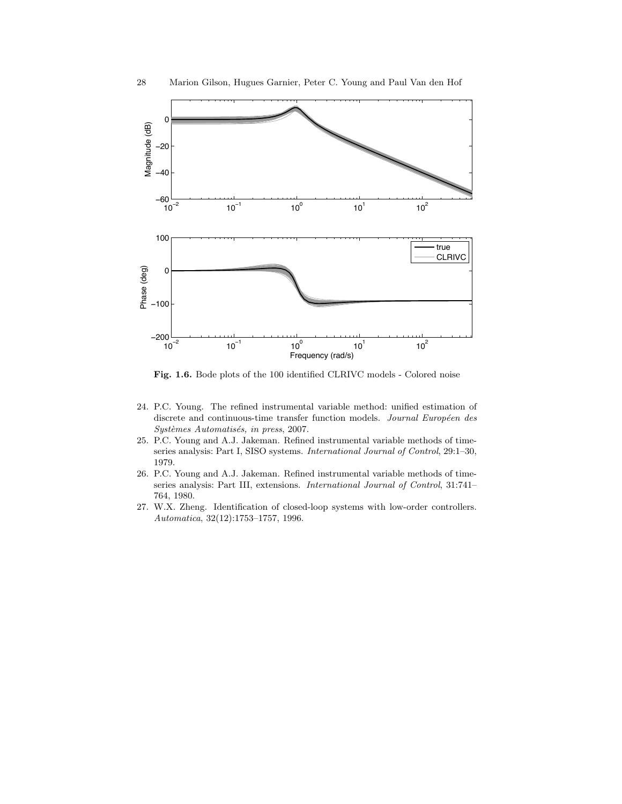

Fig. 1.6. Bode plots of the 100 identified CLRIVC models - Colored noise

- 24. P.C. Young. The refined instrumental variable method: unified estimation of discrete and continuous-time transfer function models. Journal Européen des Systèmes Automatisés, in press, 2007.
- 25. P.C. Young and A.J. Jakeman. Refined instrumental variable methods of timeseries analysis: Part I, SISO systems. International Journal of Control, 29:1–30, 1979.
- 26. P.C. Young and A.J. Jakeman. Refined instrumental variable methods of timeseries analysis: Part III, extensions. International Journal of Control, 31:741– 764, 1980.
- 27. W.X. Zheng. Identification of closed-loop systems with low-order controllers. Automatica, 32(12):1753–1757, 1996.